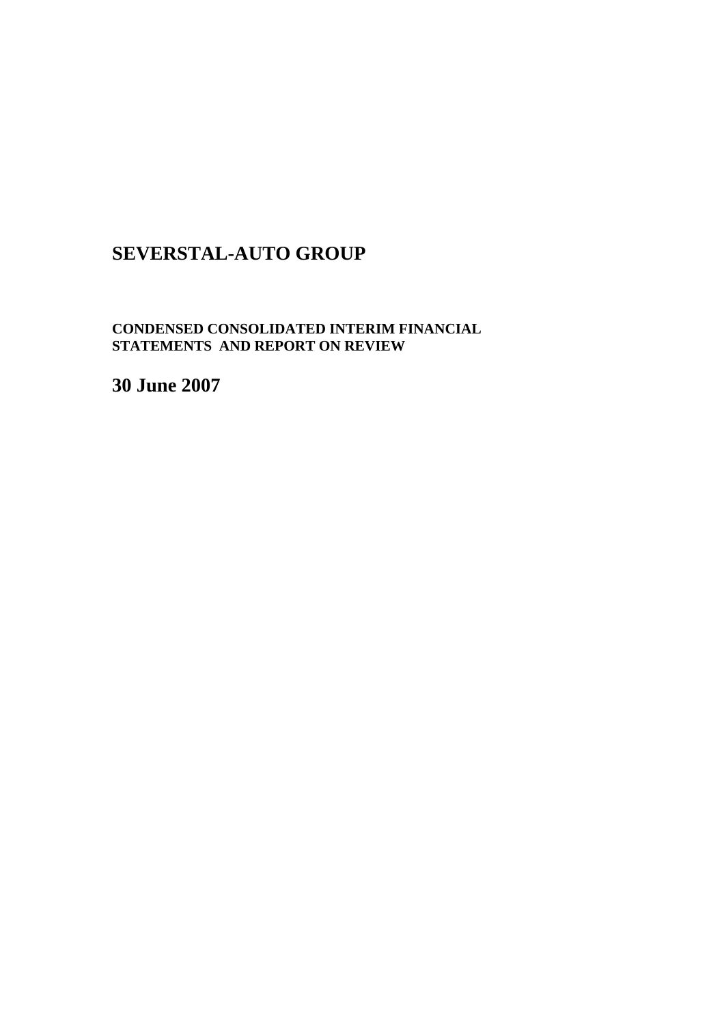# **SEVERSTAL-AUTO GROUP**

**CONDENSED CONSOLIDATED INTERIM FINANCIAL STATEMENTS AND REPORT ON REVIEW** 

**30 June 2007**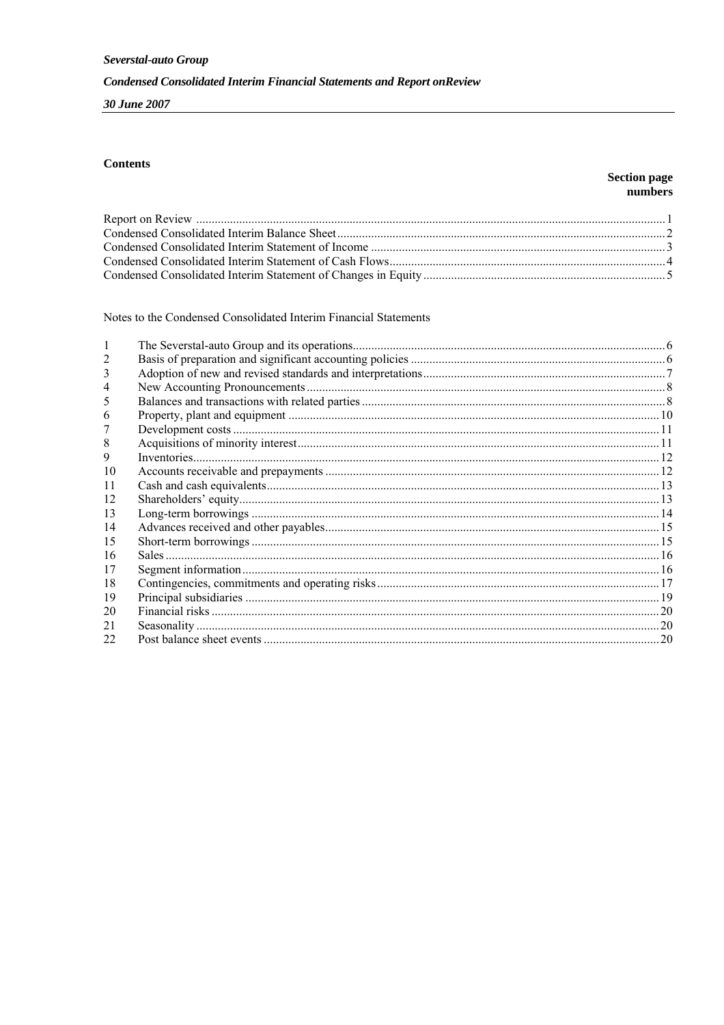30 June 2007

## **Contents**

### **Section page** numbers

Notes to the Condensed Consolidated Interim Financial Statements

| 3            |  |
|--------------|--|
|              |  |
|              |  |
| <sub>(</sub> |  |
|              |  |
| 8            |  |
| 9            |  |
| 10           |  |
| 11           |  |
| 12           |  |
| 13           |  |
| 14           |  |
| 15           |  |
| 16           |  |
| 17           |  |
| 18           |  |
| 19           |  |
| 20           |  |
| 21           |  |
| 22           |  |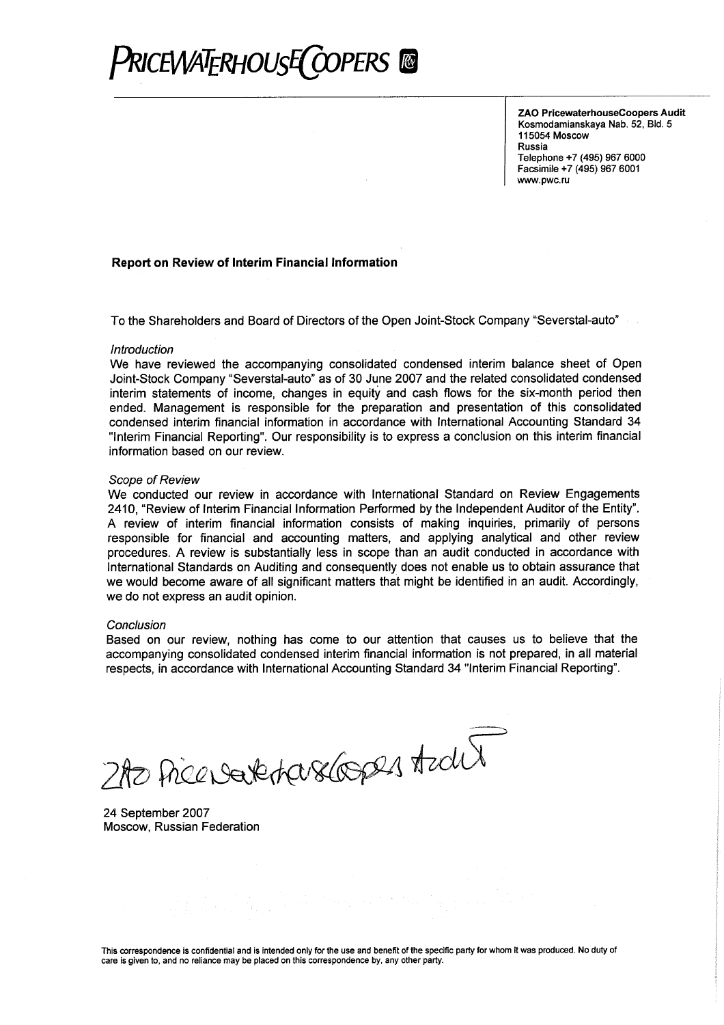

ZAO PricewaterhouseCoopers Audit Kosmodamianskaya Nab. 52, Bld. 5 115054 Moscow Russia Telephone +7 (495) 967 6000 Facsimile +7 (495) 967 6001 www.pwc.ru

#### Report on Review of Interim Financial Information

To the Shareholders and Board of Directors of the Open Joint-Stock Company "Severstal-auto"

#### Introduction

We have reviewed the accompanying consolidated condensed interim balance sheet of Open Joint-Stock Company "Severstal-auto" as of 30 June 2007 and the related consolidated condensed interim statements of income, changes in equity and cash flows for the six-month period then ended. Management is responsible for the preparation and presentation of this consolidated condensed interim financial information in accordance with International Accounting Standard 34 "Interim Financial Reporting". Our responsibility is to express a conclusion on this interim financial information based on our review.

#### Scope of Review

We conducted our review in accordance with International Standard on Review Engagements 2410, "Review of Interim Financial Information Performed by the Independent Auditor of the Entity". A review of interim financial information consists of making inquiries, primarily of persons responsible for financial and accounting matters, and applying analytical and other review procedures. A review is substantially less in scope than an audit conducted in accordance with International Standards on Auditing and consequently does not enable us to obtain assurance that we would become aware of all significant matters that might be identified in an audit. Accordingly, we do not express an audit opinion.

#### Conclusion

Based on our review, nothing has come to our attention that causes us to believe that the accompanying consolidated condensed interim financial information is not prepared, in all material respects, in accordance with International Accounting Standard 34 "Interim Financial Reporting".

2AO Price Date Harsdages Azalit

24 September 2007 Moscow, Russian Federation

This correspondence is confidential and is intended only for the use and benefit of the specific party for whom it was produced. No duty of care is given to, and no reliance may be placed on this correspondence by, any other party.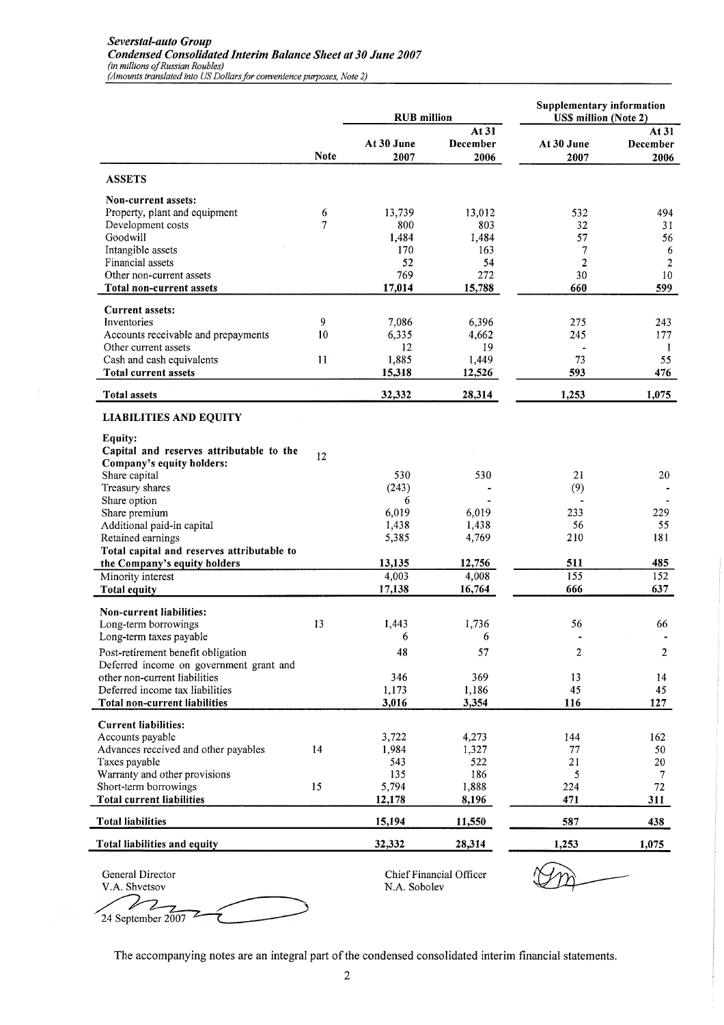|                                                                               |              | <b>RUB</b> million |                           | <b>Supplementary information</b><br><b>USS million (Note 2)</b> |                           |  |
|-------------------------------------------------------------------------------|--------------|--------------------|---------------------------|-----------------------------------------------------------------|---------------------------|--|
|                                                                               | <b>Note</b>  | At 30 June<br>2007 | At 31<br>December<br>2006 | At 30 June<br>2007                                              | At 31<br>December<br>2006 |  |
| <b>ASSETS</b>                                                                 |              |                    |                           |                                                                 |                           |  |
| Non-current assets:                                                           |              |                    |                           |                                                                 |                           |  |
| Property, plant and equipment                                                 | 6            | 13,739             | 13,012                    | 532                                                             | 494                       |  |
| Development costs                                                             | 7            | 800                | 803                       | 32                                                              | 31                        |  |
| Goodwill                                                                      |              | 1,484              | 1,484                     | 57                                                              | 56                        |  |
| Intangible assets<br>Financial assets                                         |              | 170<br>52          | 163<br>54                 | 7<br>2                                                          | 6<br>$\sqrt{2}$           |  |
| Other non-current assets                                                      |              | 769                | 272                       | 30                                                              | 10                        |  |
| Total non-current assets                                                      |              | 17,014             | 15,788                    | 660                                                             | 599                       |  |
| <b>Current assets:</b>                                                        |              |                    |                           |                                                                 |                           |  |
| Inventories                                                                   | 9            | 7,086              | 6,396                     | 275                                                             | 243                       |  |
| Accounts receivable and prepayments                                           | 10           | 6,335              | 4,662                     | 245                                                             | 177                       |  |
| Other current assets                                                          |              | 12                 | 19                        |                                                                 | 1                         |  |
| Cash and cash equivalents<br><b>Total current assets</b>                      | $11^{\circ}$ | 1,885              | 1,449                     | 73<br>593                                                       | 55<br>476                 |  |
|                                                                               |              | 15,318             | 12,526                    |                                                                 |                           |  |
| <b>Total assets</b>                                                           |              | 32,332             | 28,314                    | 1,253                                                           | 1,075                     |  |
| <b>LIABILITIES AND EQUITY</b>                                                 |              |                    |                           |                                                                 |                           |  |
| Equity:                                                                       |              |                    |                           |                                                                 |                           |  |
| Capital and reserves attributable to the                                      | 12           |                    |                           |                                                                 |                           |  |
| Company's equity holders:                                                     |              |                    |                           |                                                                 |                           |  |
| Share capital                                                                 |              | 530                | 530                       | 21                                                              | 20                        |  |
| Treasury shares<br>Share option                                               |              | (243)<br>6         |                           | (9)                                                             |                           |  |
| Share premium                                                                 |              | 6,019              | 6,019                     | 233                                                             | 229                       |  |
| Additional paid-in capital                                                    |              | 1,438              | 1,438                     | 56                                                              | 55                        |  |
| Retained earnings                                                             |              | 5,385              | 4,769                     | 210                                                             | 181                       |  |
| Total capital and reserves attributable to                                    |              |                    |                           |                                                                 |                           |  |
| the Company's equity holders                                                  |              | 13,135             | 12,756                    | 511                                                             | 485                       |  |
| Minority interest                                                             |              | 4,003              | 4,008                     | 155                                                             | 152                       |  |
| <b>Total equity</b>                                                           |              | 17,138             | 16,764                    | 666                                                             | 637                       |  |
| Non-current liabilities:                                                      |              |                    |                           |                                                                 |                           |  |
| Long-term borrowings                                                          | 13           | 1,443              | 1,736                     | 56                                                              | 66                        |  |
| Long-term taxes payable                                                       |              | 6                  | 6                         |                                                                 |                           |  |
| Post-retirement benefit obligation<br>Deferred income on government grant and |              | 48                 | 57                        | $\overline{\mathbf{c}}$                                         | $\boldsymbol{2}$          |  |
| other non-current liabilities                                                 |              | 346                | 369                       | 13                                                              | 14                        |  |
| Deferred income tax liabilities                                               |              | 1,173              | 1,186                     | 45                                                              | 45                        |  |
| Total non-current liabilities                                                 |              | 3,016              | 3,354                     | 116                                                             | 127                       |  |
| <b>Current liabilities:</b>                                                   |              |                    |                           |                                                                 |                           |  |
| Accounts payable                                                              |              | 3,722              | 4,273                     | 144                                                             | 162                       |  |
| Advances received and other payables                                          | 14           | 1,984              | 1,327                     | 77                                                              | 50                        |  |
| Taxes payable                                                                 |              | 543                | 522                       | 21                                                              | 20                        |  |
| Warranty and other provisions                                                 |              | 135                | 186                       | 5                                                               | 7                         |  |
| Short-term borrowings                                                         | 15           | 5,794              | 1,888                     | 224                                                             | $72\,$                    |  |
| <b>Total current liabilities</b>                                              |              | 12,178             | 8,196                     | 471                                                             | 311                       |  |
| <b>Total liabilities</b>                                                      |              | 15,194             | 11,550                    | 587                                                             | 438                       |  |
| Total liabilities and equity                                                  |              | 32,332             | 28,314                    | 1,253                                                           | 1,075                     |  |
| General Director                                                              |              |                    | Chief Financial Officer   |                                                                 |                           |  |
| V.A. Shvetsov                                                                 |              | N.A. Sobolev       |                           |                                                                 |                           |  |

The accompanying notes are an integral part of the condensed consolidated interim financial statements.

24 September 2007

 $\mathbf{z}$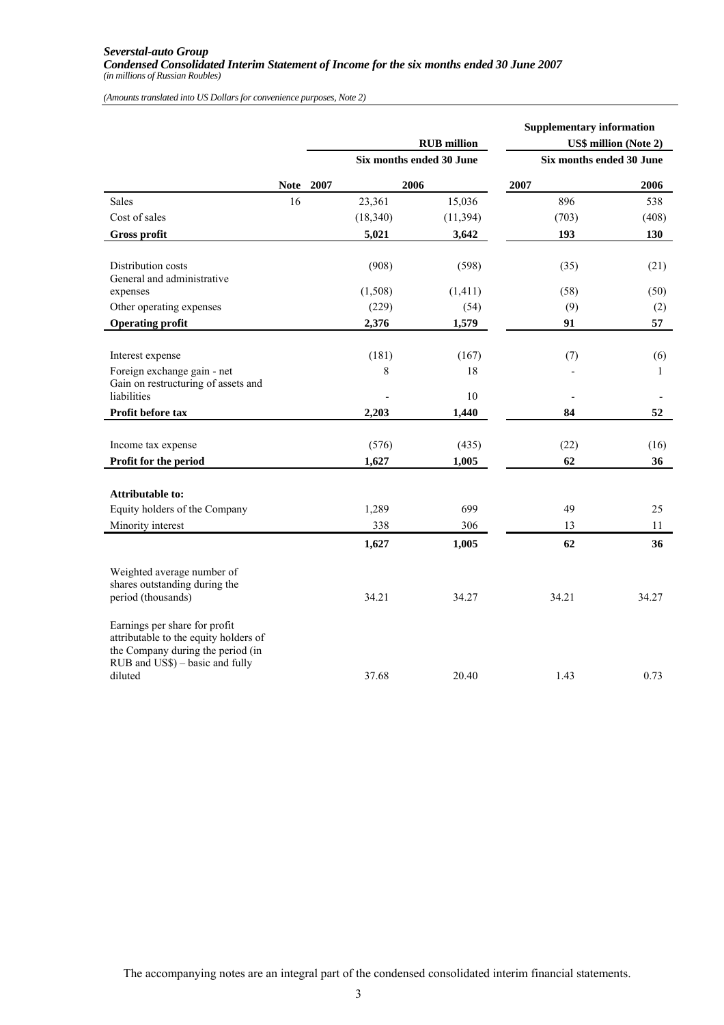#### *Severstal-auto Group Condensed Consolidated Interim Statement of Income for the six months ended 30 June 2007 (in millions of Russian Roubles)*

*(Amounts translated into US Dollars for convenience purposes, Note 2)*

|                                                                                                                                                           |             |      |           | <b>RUB</b> million<br>Six months ended 30 June | <b>Supplementary information</b><br>Six months ended 30 June | <b>US\$ million (Note 2)</b> |
|-----------------------------------------------------------------------------------------------------------------------------------------------------------|-------------|------|-----------|------------------------------------------------|--------------------------------------------------------------|------------------------------|
|                                                                                                                                                           | <b>Note</b> | 2007 | 2006      |                                                | 2007                                                         | 2006                         |
| <b>Sales</b>                                                                                                                                              | 16          |      | 23,361    | 15,036                                         | 896                                                          | 538                          |
| Cost of sales                                                                                                                                             |             |      | (18, 340) | (11, 394)                                      | (703)                                                        | (408)                        |
| <b>Gross profit</b>                                                                                                                                       |             |      | 5,021     | 3,642                                          | 193                                                          | 130                          |
|                                                                                                                                                           |             |      |           |                                                |                                                              |                              |
| Distribution costs<br>General and administrative                                                                                                          |             |      | (908)     | (598)                                          | (35)                                                         | (21)                         |
| expenses                                                                                                                                                  |             |      | (1,508)   | (1, 411)                                       | (58)                                                         | (50)                         |
| Other operating expenses                                                                                                                                  |             |      | (229)     | (54)                                           | (9)                                                          | (2)                          |
| <b>Operating profit</b>                                                                                                                                   |             |      | 2,376     | 1,579                                          | 91                                                           | 57                           |
|                                                                                                                                                           |             |      |           |                                                |                                                              |                              |
| Interest expense                                                                                                                                          |             |      | (181)     | (167)                                          | (7)                                                          | (6)                          |
| Foreign exchange gain - net                                                                                                                               |             |      | 8         | 18                                             |                                                              | $\mathbf{1}$                 |
| Gain on restructuring of assets and<br>liabilities                                                                                                        |             |      |           | 10                                             |                                                              |                              |
| Profit before tax                                                                                                                                         |             |      | 2,203     | 1,440                                          | 84                                                           | 52                           |
|                                                                                                                                                           |             |      |           |                                                |                                                              |                              |
| Income tax expense                                                                                                                                        |             |      | (576)     | (435)                                          | (22)                                                         | (16)                         |
| Profit for the period                                                                                                                                     |             |      | 1,627     | 1,005                                          | 62                                                           | 36                           |
|                                                                                                                                                           |             |      |           |                                                |                                                              |                              |
| Attributable to:                                                                                                                                          |             |      |           |                                                |                                                              |                              |
| Equity holders of the Company                                                                                                                             |             |      | 1,289     | 699                                            | 49                                                           | 25                           |
| Minority interest                                                                                                                                         |             |      | 338       | 306                                            | 13                                                           | 11                           |
|                                                                                                                                                           |             |      | 1,627     | 1,005                                          | 62                                                           | 36                           |
| Weighted average number of<br>shares outstanding during the<br>period (thousands)                                                                         |             |      | 34.21     | 34.27                                          | 34.21                                                        | 34.27                        |
|                                                                                                                                                           |             |      |           |                                                |                                                              |                              |
| Earnings per share for profit<br>attributable to the equity holders of<br>the Company during the period (in<br>RUB and US\$) - basic and fully<br>diluted |             |      | 37.68     | 20.40                                          | 1.43                                                         | 0.73                         |

The accompanying notes are an integral part of the condensed consolidated interim financial statements.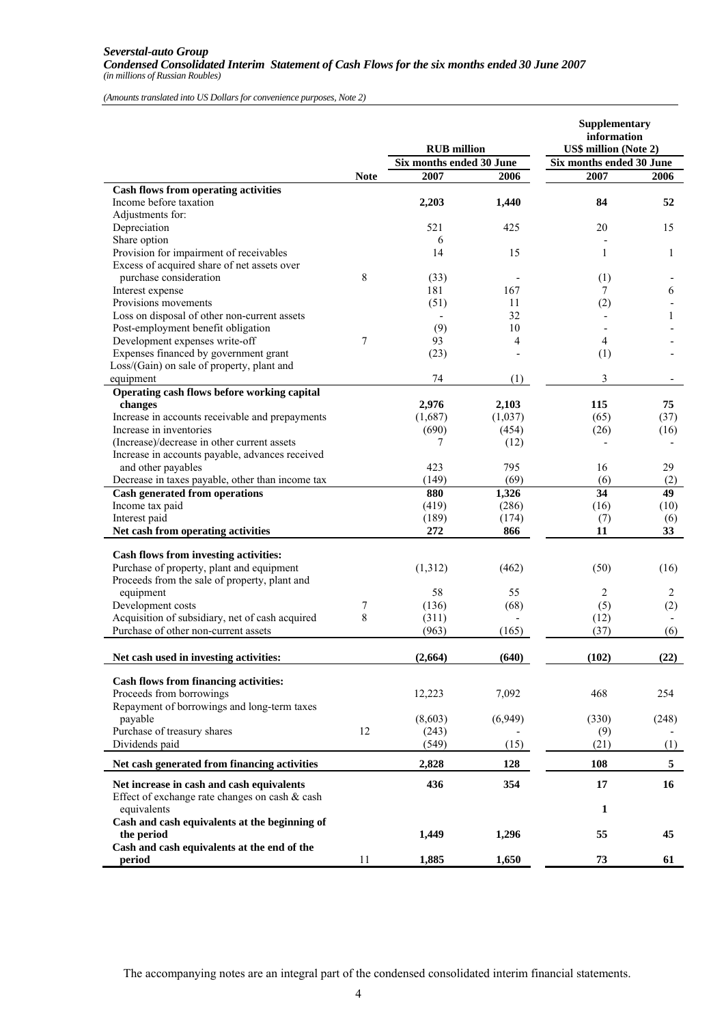#### *Severstal-auto Group Condensed Consolidated Interim Statement of Cash Flows for the six months ended 30 June 2007 (in millions of Russian Roubles)*

*(Amounts translated into US Dollars for convenience purposes, Note 2)*

|                                                                                             |             | <b>RUB</b> million       |         | Supplementary<br>information<br><b>US\$ million (Note 2)</b><br>Six months ended 30 June |       |  |
|---------------------------------------------------------------------------------------------|-------------|--------------------------|---------|------------------------------------------------------------------------------------------|-------|--|
|                                                                                             |             | Six months ended 30 June |         |                                                                                          |       |  |
|                                                                                             | <b>Note</b> | 2007                     | 2006    | 2007                                                                                     | 2006  |  |
| <b>Cash flows from operating activities</b>                                                 |             |                          |         |                                                                                          |       |  |
| Income before taxation                                                                      |             | 2,203                    | 1,440   | 84                                                                                       | 52    |  |
| Adjustments for:                                                                            |             |                          |         |                                                                                          |       |  |
| Depreciation                                                                                |             | 521                      | 425     | 20                                                                                       | 15    |  |
| Share option                                                                                |             | 6                        |         |                                                                                          |       |  |
| Provision for impairment of receivables                                                     |             | 14                       | 15      | 1                                                                                        | 1     |  |
| Excess of acquired share of net assets over                                                 |             |                          |         |                                                                                          |       |  |
| purchase consideration                                                                      | 8           | (33)                     |         | (1)                                                                                      |       |  |
| Interest expense                                                                            |             | 181                      | 167     | 7                                                                                        | 6     |  |
| Provisions movements                                                                        |             | (51)                     | 11      | (2)                                                                                      |       |  |
| Loss on disposal of other non-current assets                                                |             |                          | 32      |                                                                                          | 1     |  |
| Post-employment benefit obligation                                                          |             | (9)                      | 10      |                                                                                          |       |  |
| Development expenses write-off                                                              | 7           | 93                       | 4       | 4                                                                                        |       |  |
| Expenses financed by government grant                                                       |             | (23)                     |         | (1)                                                                                      |       |  |
| Loss/(Gain) on sale of property, plant and                                                  |             |                          |         |                                                                                          |       |  |
| equipment                                                                                   |             | 74                       | (1)     | 3                                                                                        |       |  |
| Operating cash flows before working capital                                                 |             |                          |         |                                                                                          |       |  |
| changes                                                                                     |             | 2,976                    | 2,103   | 115                                                                                      | 75    |  |
| Increase in accounts receivable and prepayments                                             |             | (1,687)                  | (1,037) | (65)                                                                                     | (37)  |  |
| Increase in inventories                                                                     |             | (690)                    | (454)   | (26)                                                                                     | (16)  |  |
| (Increase)/decrease in other current assets                                                 |             | 7                        | (12)    |                                                                                          |       |  |
| Increase in accounts payable, advances received                                             |             |                          |         |                                                                                          |       |  |
| and other payables                                                                          |             | 423                      | 795     | 16                                                                                       | 29    |  |
| Decrease in taxes payable, other than income tax                                            |             | (149)                    | (69)    | (6)                                                                                      | (2)   |  |
| <b>Cash generated from operations</b>                                                       |             | 880                      | 1,326   | 34                                                                                       | 49    |  |
| Income tax paid                                                                             |             | (419)                    | (286)   | (16)                                                                                     | (10)  |  |
| Interest paid                                                                               |             | (189)                    | (174)   | (7)                                                                                      | (6)   |  |
| Net cash from operating activities                                                          |             | 272                      | 866     | 11                                                                                       | 33    |  |
|                                                                                             |             |                          |         |                                                                                          |       |  |
| Cash flows from investing activities:                                                       |             |                          |         |                                                                                          |       |  |
| Purchase of property, plant and equipment                                                   |             | (1,312)                  | (462)   | (50)                                                                                     | (16)  |  |
| Proceeds from the sale of property, plant and                                               |             |                          |         |                                                                                          |       |  |
| equipment                                                                                   |             | 58                       | 55      | 2                                                                                        | 2     |  |
| Development costs                                                                           | 7<br>8      | (136)                    | (68)    | (5)                                                                                      | (2)   |  |
| Acquisition of subsidiary, net of cash acquired<br>Purchase of other non-current assets     |             | (311)                    |         | (12)                                                                                     |       |  |
|                                                                                             |             | (963)                    | (165)   | (37)                                                                                     | (6)   |  |
| Net cash used in investing activities:                                                      |             | (2,664)                  | (640)   | (102)                                                                                    | (22)  |  |
| <b>Cash flows from financing activities:</b>                                                |             |                          |         |                                                                                          |       |  |
| Proceeds from borrowings                                                                    |             | 12,223                   | 7,092   | 468                                                                                      | 254   |  |
| Repayment of borrowings and long-term taxes                                                 |             |                          |         |                                                                                          |       |  |
| payable                                                                                     |             | (8,603)                  | (6,949) | (330)                                                                                    | (248) |  |
| Purchase of treasury shares                                                                 | 12          | (243)                    |         | (9)                                                                                      |       |  |
| Dividends paid                                                                              |             | (549)                    | (15)    | (21)                                                                                     | (1)   |  |
|                                                                                             |             |                          |         |                                                                                          |       |  |
| Net cash generated from financing activities                                                |             | 2,828                    | 128     | 108                                                                                      | 5     |  |
| Net increase in cash and cash equivalents<br>Effect of exchange rate changes on cash & cash |             | 436                      | 354     | 17                                                                                       | 16    |  |
| equivalents                                                                                 |             |                          |         | 1                                                                                        |       |  |
| Cash and cash equivalents at the beginning of<br>the period                                 |             | 1,449                    | 1,296   | 55                                                                                       | 45    |  |
| Cash and cash equivalents at the end of the                                                 |             |                          |         |                                                                                          |       |  |
| period                                                                                      | 11          | 1,885                    | 1,650   | 73                                                                                       | 61    |  |

The accompanying notes are an integral part of the condensed consolidated interim financial statements.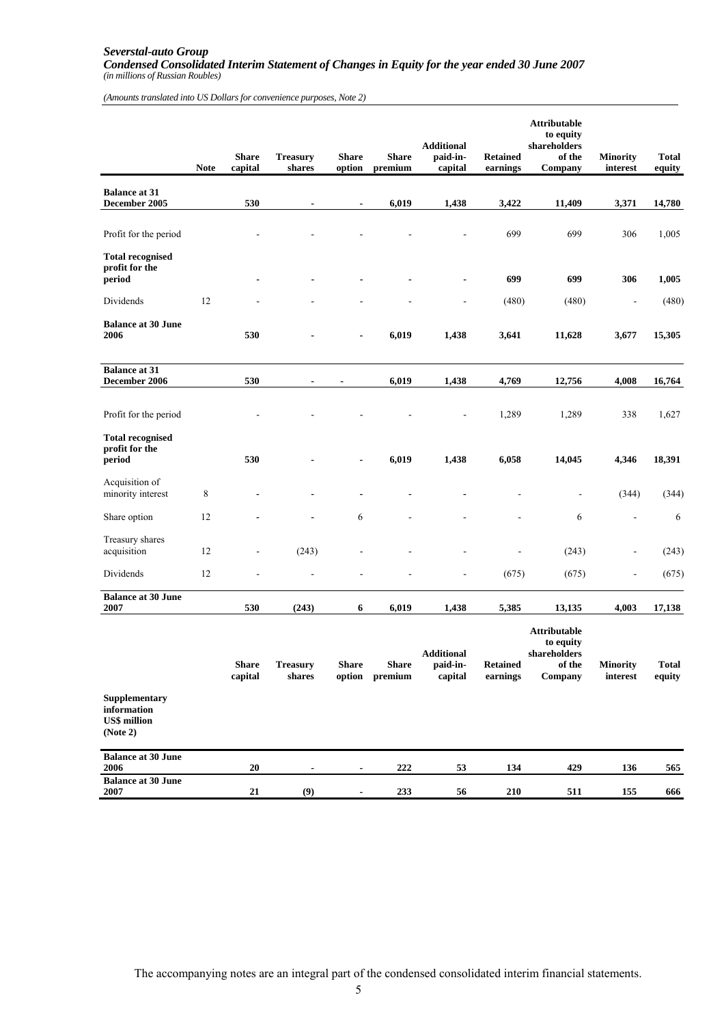#### *Severstal-auto Group Condensed Consolidated Interim Statement of Changes in Equity for the year ended 30 June 2007 (in millions of Russian Roubles)*

*(Amounts translated into US Dollars for convenience purposes, Note 2)*

|                                                                 | <b>Note</b> | <b>Share</b><br>capital  | <b>Treasury</b><br>shares | <b>Share</b><br>option | <b>Share</b><br>premium | <b>Additional</b><br>paid-in-<br>capital | <b>Retained</b><br>earnings | <b>Attributable</b><br>to equity<br>shareholders<br>of the<br>Company | <b>Minority</b><br>interest | <b>Total</b><br>equity |
|-----------------------------------------------------------------|-------------|--------------------------|---------------------------|------------------------|-------------------------|------------------------------------------|-----------------------------|-----------------------------------------------------------------------|-----------------------------|------------------------|
| <b>Balance at 31</b><br>December 2005                           |             | 530                      |                           | $\blacksquare$         | 6,019                   | 1,438                                    | 3,422                       | 11,409                                                                | 3,371                       | 14,780                 |
| Profit for the period                                           |             |                          |                           |                        |                         |                                          | 699                         | 699                                                                   | 306                         | 1,005                  |
| <b>Total recognised</b><br>profit for the<br>period             |             |                          |                           |                        |                         |                                          | 699                         | 699                                                                   | 306                         | 1,005                  |
| Dividends                                                       | 12          |                          |                           |                        |                         |                                          | (480)                       | (480)                                                                 | $\overline{a}$              | (480)                  |
| <b>Balance at 30 June</b><br>2006                               |             | 530                      |                           |                        | 6,019                   | 1,438                                    | 3,641                       | 11,628                                                                | 3,677                       | 15,305                 |
| <b>Balance at 31</b><br>December 2006                           |             | 530                      | $\blacksquare$            | $\blacksquare$         | 6,019                   | 1,438                                    | 4,769                       | 12,756                                                                | 4,008                       | 16,764                 |
|                                                                 |             |                          |                           |                        |                         |                                          |                             |                                                                       |                             |                        |
| Profit for the period                                           |             |                          |                           |                        |                         |                                          | 1,289                       | 1,289                                                                 | 338                         | 1,627                  |
| <b>Total recognised</b><br>profit for the<br>period             |             | 530                      |                           |                        | 6,019                   | 1,438                                    | 6,058                       | 14,045                                                                | 4,346                       | 18,391                 |
| Acquisition of<br>minority interest                             | 8           |                          |                           | $\blacksquare$         |                         |                                          |                             | $\overline{\phantom{a}}$                                              | (344)                       | (344)                  |
| Share option                                                    | 12          |                          |                           | 6                      |                         |                                          |                             | 6                                                                     |                             | 6                      |
| Treasury shares<br>acquisition                                  | 12          | $\overline{\phantom{a}}$ | (243)                     |                        |                         |                                          |                             | (243)                                                                 | $\overline{\phantom{a}}$    | (243)                  |
| Dividends                                                       | 12          |                          |                           |                        |                         |                                          | (675)                       | (675)                                                                 | $\overline{a}$              | (675)                  |
| <b>Balance at 30 June</b><br>2007                               |             | 530                      | (243)                     | 6                      | 6,019                   | 1,438                                    | 5,385                       | 13,135                                                                | 4,003                       | 17,138                 |
|                                                                 |             | <b>Share</b><br>capital  | <b>Treasury</b><br>shares | <b>Share</b><br>option | <b>Share</b><br>premium | <b>Additional</b><br>paid-in-<br>capital | <b>Retained</b><br>earnings | Attributable<br>to equity<br>shareholders<br>of the<br>Company        | <b>Minority</b><br>interest | <b>Total</b><br>equity |
| Supplementary<br>information<br><b>US\$</b> million<br>(Note 2) |             |                          |                           |                        |                         |                                          |                             |                                                                       |                             |                        |
| <b>Balance at 30 June</b><br>2006                               |             | 20                       |                           |                        | 222                     | 53                                       | 134                         | 429                                                                   | 136                         | 565                    |
| <b>Balance at 30 June</b><br>2007                               |             | 21                       | (9)                       | $\blacksquare$         | 233                     | 56                                       | 210                         | 511                                                                   | 155                         | 666                    |

The accompanying notes are an integral part of the condensed consolidated interim financial statements.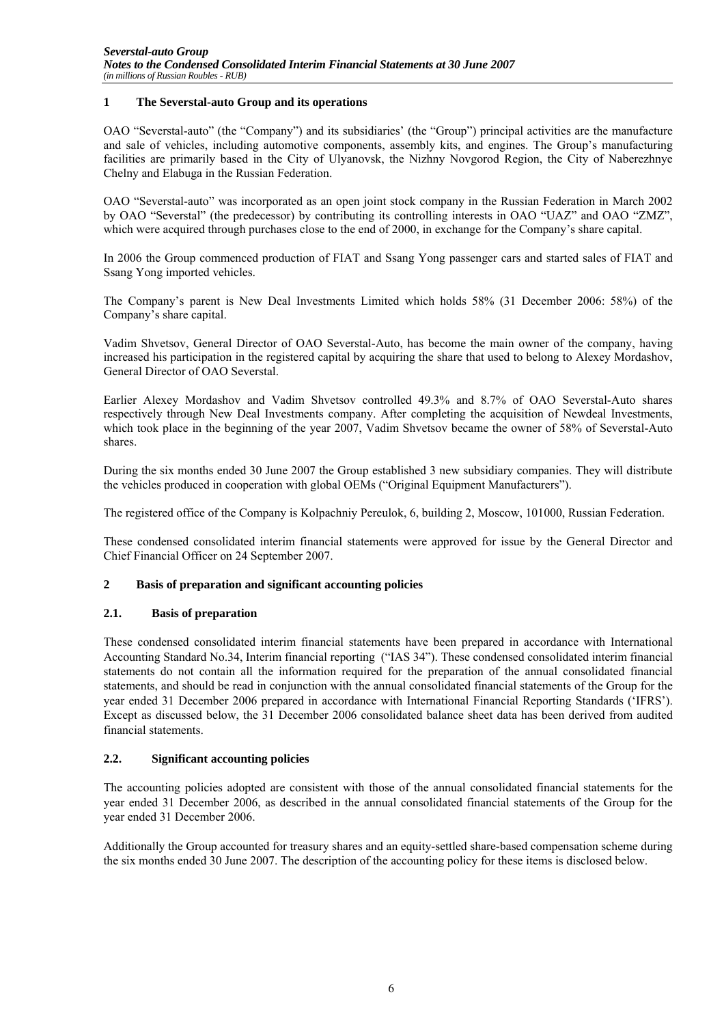### **1 The Severstal-auto Group and its operations**

OAO "Severstal-auto" (the "Company") and its subsidiaries' (the "Group") principal activities are the manufacture and sale of vehicles, including automotive components, assembly kits, and engines. The Group's manufacturing facilities are primarily based in the City of Ulyanovsk, the Nizhny Novgorod Region, the City of Naberezhnye Chelny and Elabuga in the Russian Federation.

OAO "Severstal-auto" was incorporated as an open joint stock company in the Russian Federation in March 2002 by OAO "Severstal" (the predecessor) by contributing its controlling interests in OAO "UAZ" and OAO "ZMZ", which were acquired through purchases close to the end of 2000, in exchange for the Company's share capital.

In 2006 the Group commenced production of FIAT and Ssang Yong passenger cars and started sales of FIAT and Ssang Yong imported vehicles.

The Company's parent is New Deal Investments Limited which holds 58% (31 December 2006: 58%) of the Company's share capital.

Vadim Shvetsov, General Director of OAO Severstal-Auto, has become the main owner of the company, having increased his participation in the registered capital by acquiring the share that used to belong to Alexey Mordashov, General Director of OAO Severstal.

Earlier Alexey Mordashov and Vadim Shvetsov controlled 49.3% and 8.7% of OAO Severstal-Auto shares respectively through New Deal Investments company. After completing the acquisition of Newdeal Investments, which took place in the beginning of the year 2007, Vadim Shvetsov became the owner of 58% of Severstal-Auto shares.

During the six months ended 30 June 2007 the Group established 3 new subsidiary companies. They will distribute the vehicles produced in cooperation with global OEMs ("Original Equipment Manufacturers").

The registered office of the Company is Kolpachniy Pereulok, 6, building 2, Moscow, 101000, Russian Federation.

These condensed consolidated interim financial statements were approved for issue by the General Director and Chief Financial Officer on 24 September 2007.

### **2 Basis of preparation and significant accounting policies**

### **2.1. Basis of preparation**

These condensed consolidated interim financial statements have been prepared in accordance with International Accounting Standard No.34, Interim financial reporting ("IAS 34"). These condensed consolidated interim financial statements do not contain all the information required for the preparation of the annual consolidated financial statements, and should be read in conjunction with the annual consolidated financial statements of the Group for the year ended 31 December 2006 prepared in accordance with International Financial Reporting Standards ('IFRS'). Except as discussed below, the 31 December 2006 consolidated balance sheet data has been derived from audited financial statements.

# **2.2. Significant accounting policies**

The accounting policies adopted are consistent with those of the annual consolidated financial statements for the year ended 31 December 2006, as described in the annual consolidated financial statements of the Group for the year ended 31 December 2006.

Additionally the Group accounted for treasury shares and an equity-settled share-based compensation scheme during the six months ended 30 June 2007. The description of the accounting policy for these items is disclosed below.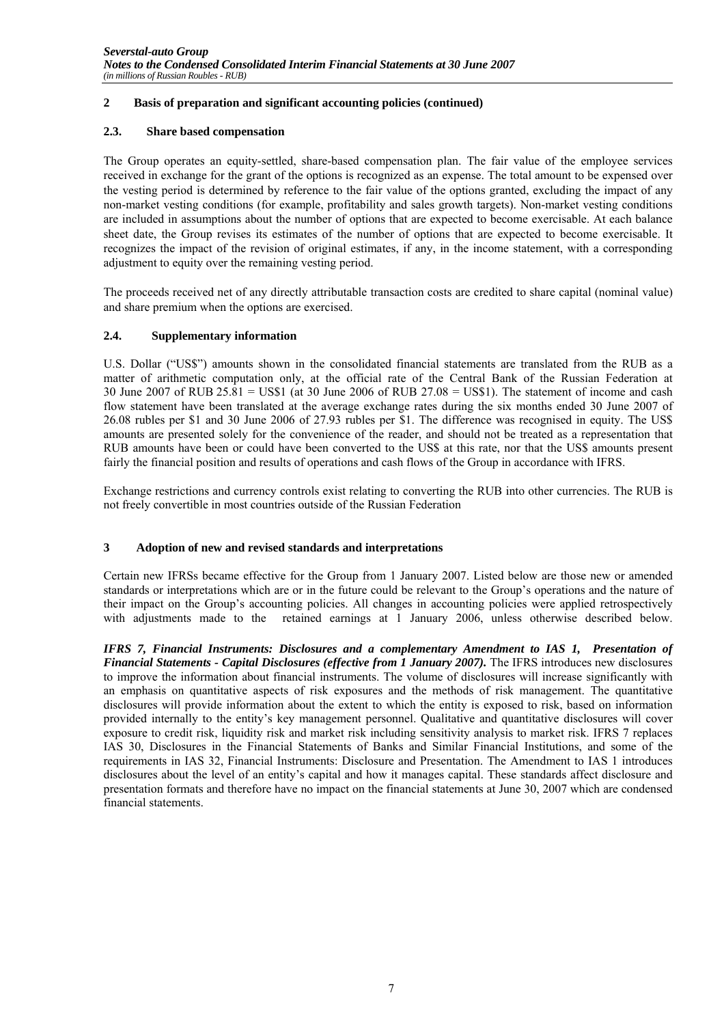# **2 Basis of preparation and significant accounting policies (continued)**

# **2.3. Share based compensation**

The Group operates an equity-settled, share-based compensation plan. The fair value of the employee services received in exchange for the grant of the options is recognized as an expense. The total amount to be expensed over the vesting period is determined by reference to the fair value of the options granted, excluding the impact of any non-market vesting conditions (for example, profitability and sales growth targets). Non-market vesting conditions are included in assumptions about the number of options that are expected to become exercisable. At each balance sheet date, the Group revises its estimates of the number of options that are expected to become exercisable. It recognizes the impact of the revision of original estimates, if any, in the income statement, with a corresponding adjustment to equity over the remaining vesting period.

The proceeds received net of any directly attributable transaction costs are credited to share capital (nominal value) and share premium when the options are exercised.

# **2.4. Supplementary information**

U.S. Dollar ("US\$") amounts shown in the consolidated financial statements are translated from the RUB as a matter of arithmetic computation only, at the official rate of the Central Bank of the Russian Federation at 30 June 2007 of RUB 25.81 = US\$1 (at 30 June 2006 of RUB 27.08 = US\$1). The statement of income and cash flow statement have been translated at the average exchange rates during the six months ended 30 June 2007 of 26.08 rubles per \$1 and 30 June 2006 of 27.93 rubles per \$1. The difference was recognised in equity. The US\$ amounts are presented solely for the convenience of the reader, and should not be treated as a representation that RUB amounts have been or could have been converted to the US\$ at this rate, nor that the US\$ amounts present fairly the financial position and results of operations and cash flows of the Group in accordance with IFRS.

Exchange restrictions and currency controls exist relating to converting the RUB into other currencies. The RUB is not freely convertible in most countries outside of the Russian Federation

# **3 Adoption of new and revised standards and interpretations**

Certain new IFRSs became effective for the Group from 1 January 2007. Listed below are those new or amended standards or interpretations which are or in the future could be relevant to the Group's operations and the nature of their impact on the Group's accounting policies. All changes in accounting policies were applied retrospectively with adjustments made to the retained earnings at 1 January 2006, unless otherwise described below.

*IFRS 7, Financial Instruments: Disclosures and a complementary Amendment to IAS 1, Presentation of Financial Statements - Capital Disclosures (effective from 1 January 2007).* The IFRS introduces new disclosures to improve the information about financial instruments. The volume of disclosures will increase significantly with an emphasis on quantitative aspects of risk exposures and the methods of risk management. The quantitative disclosures will provide information about the extent to which the entity is exposed to risk, based on information provided internally to the entity's key management personnel. Qualitative and quantitative disclosures will cover exposure to credit risk, liquidity risk and market risk including sensitivity analysis to market risk. IFRS 7 replaces IAS 30, Disclosures in the Financial Statements of Banks and Similar Financial Institutions, and some of the requirements in IAS 32, Financial Instruments: Disclosure and Presentation. The Amendment to IAS 1 introduces disclosures about the level of an entity's capital and how it manages capital. These standards affect disclosure and presentation formats and therefore have no impact on the financial statements at June 30, 2007 which are condensed financial statements.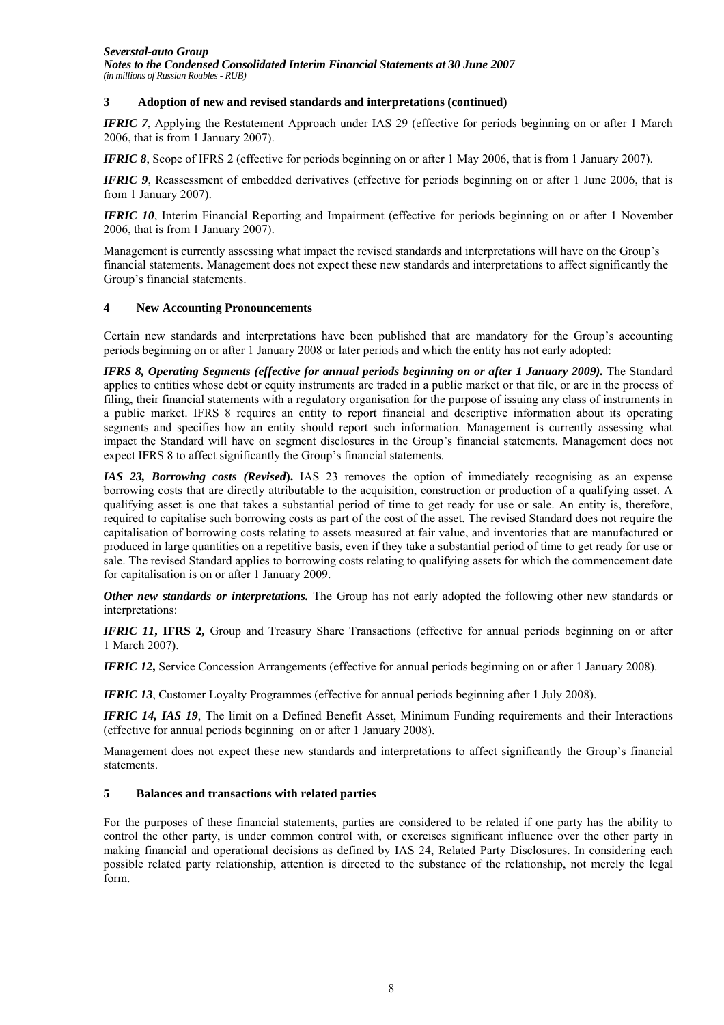### **3 Adoption of new and revised standards and interpretations (continued)**

*IFRIC 7*, Applying the Restatement Approach under IAS 29 (effective for periods beginning on or after 1 March 2006, that is from 1 January 2007).

*IFRIC 8*, Scope of IFRS 2 (effective for periods beginning on or after 1 May 2006, that is from 1 January 2007).

*IFRIC 9*, Reassessment of embedded derivatives (effective for periods beginning on or after 1 June 2006, that is from 1 January 2007).

*IFRIC 10*, Interim Financial Reporting and Impairment (effective for periods beginning on or after 1 November 2006, that is from 1 January 2007).

Management is currently assessing what impact the revised standards and interpretations will have on the Group's financial statements. Management does not expect these new standards and interpretations to affect significantly the Group's financial statements.

### **4 New Accounting Pronouncements**

Certain new standards and interpretations have been published that are mandatory for the Group's accounting periods beginning on or after 1 January 2008 or later periods and which the entity has not early adopted:

*IFRS 8, Operating Segments (effective for annual periods beginning on or after 1 January 2009).* The Standard applies to entities whose debt or equity instruments are traded in a public market or that file, or are in the process of filing, their financial statements with a regulatory organisation for the purpose of issuing any class of instruments in a public market. IFRS 8 requires an entity to report financial and descriptive information about its operating segments and specifies how an entity should report such information. Management is currently assessing what impact the Standard will have on segment disclosures in the Group's financial statements. Management does not expect IFRS 8 to affect significantly the Group's financial statements.

*IAS 23, Borrowing costs (Revised***).** IAS 23 removes the option of immediately recognising as an expense borrowing costs that are directly attributable to the acquisition, construction or production of a qualifying asset. A qualifying asset is one that takes a substantial period of time to get ready for use or sale. An entity is, therefore, required to capitalise such borrowing costs as part of the cost of the asset. The revised Standard does not require the capitalisation of borrowing costs relating to assets measured at fair value, and inventories that are manufactured or produced in large quantities on a repetitive basis, even if they take a substantial period of time to get ready for use or sale. The revised Standard applies to borrowing costs relating to qualifying assets for which the commencement date for capitalisation is on or after 1 January 2009.

*Other new standards or interpretations.* The Group has not early adopted the following other new standards or interpretations:

*IFRIC 11***, IFRS 2,** Group and Treasury Share Transactions (effective for annual periods beginning on or after 1 March 2007).

*IFRIC 12***,** Service Concession Arrangements (effective for annual periods beginning on or after 1 January 2008).

*IFRIC 13*, Customer Loyalty Programmes (effective for annual periods beginning after 1 July 2008).

*IFRIC 14, IAS 19*, The limit on a Defined Benefit Asset, Minimum Funding requirements and their Interactions (effective for annual periods beginning on or after 1 January 2008).

Management does not expect these new standards and interpretations to affect significantly the Group's financial statements.

### **5 Balances and transactions with related parties**

For the purposes of these financial statements, parties are considered to be related if one party has the ability to control the other party, is under common control with, or exercises significant influence over the other party in making financial and operational decisions as defined by IAS 24, Related Party Disclosures. In considering each possible related party relationship, attention is directed to the substance of the relationship, not merely the legal form.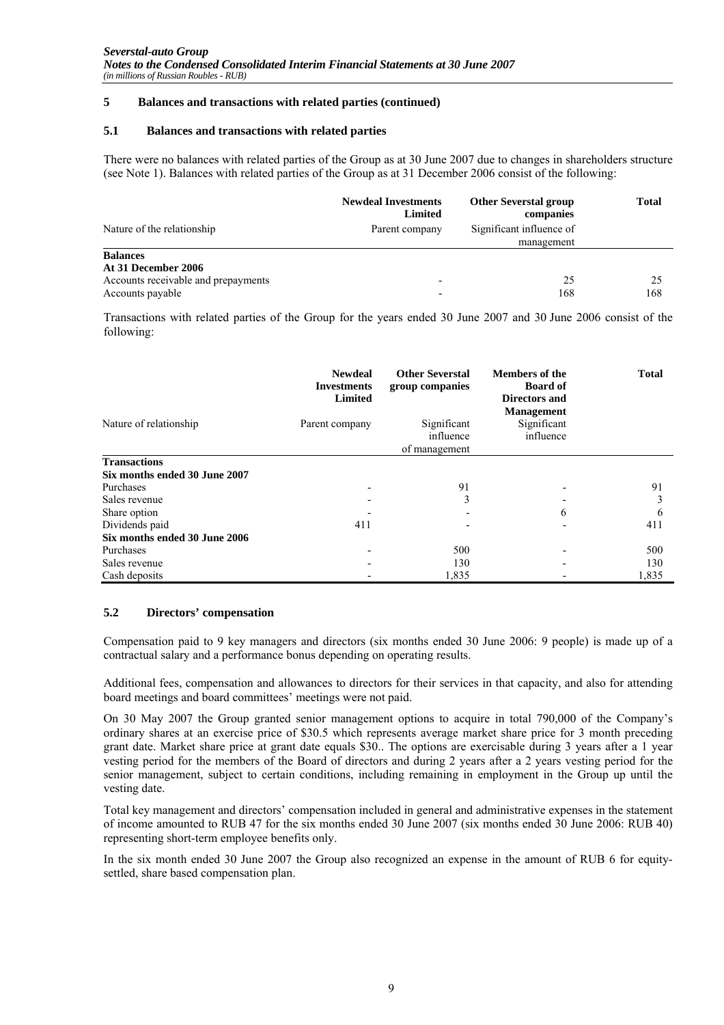### **5 Balances and transactions with related parties (continued)**

#### **5.1 Balances and transactions with related parties**

There were no balances with related parties of the Group as at 30 June 2007 due to changes in shareholders structure (see Note 1). Balances with related parties of the Group as at 31 December 2006 consist of the following:

|                                     | <b>Newdeal Investments</b><br>Limited | <b>Other Severstal group</b><br>companies | <b>Total</b> |
|-------------------------------------|---------------------------------------|-------------------------------------------|--------------|
| Nature of the relationship          | Parent company                        | Significant influence of<br>management    |              |
| <b>Balances</b>                     |                                       |                                           |              |
| At 31 December 2006                 |                                       |                                           |              |
| Accounts receivable and prepayments | ٠                                     | 25                                        | 25           |
| Accounts payable                    | $\,$                                  | 168                                       | 168          |

Transactions with related parties of the Group for the years ended 30 June 2007 and 30 June 2006 consist of the following:

|                               | <b>Newdeal</b><br><b>Investments</b><br><b>Limited</b> | <b>Other Severstal</b><br>group companies | <b>Members of the</b><br><b>Board of</b><br>Directors and<br><b>Management</b> | <b>Total</b> |
|-------------------------------|--------------------------------------------------------|-------------------------------------------|--------------------------------------------------------------------------------|--------------|
| Nature of relationship        | Parent company                                         | Significant<br>influence<br>of management | Significant<br>influence                                                       |              |
| <b>Transactions</b>           |                                                        |                                           |                                                                                |              |
| Six months ended 30 June 2007 |                                                        |                                           |                                                                                |              |
| Purchases                     |                                                        | 91                                        |                                                                                | 91           |
| Sales revenue                 | -                                                      | 3                                         |                                                                                | 3            |
| Share option                  |                                                        |                                           | 6                                                                              | 6            |
| Dividends paid                | 411                                                    |                                           | ٠                                                                              | 411          |
| Six months ended 30 June 2006 |                                                        |                                           |                                                                                |              |
| Purchases                     |                                                        | 500                                       | -                                                                              | 500          |
| Sales revenue                 |                                                        | 130                                       |                                                                                | 130          |
| Cash deposits                 |                                                        | 1,835                                     |                                                                                | 1,835        |

### **5.2 Directors' compensation**

Compensation paid to 9 key managers and directors (six months ended 30 June 2006: 9 people) is made up of a contractual salary and a performance bonus depending on operating results.

Additional fees, compensation and allowances to directors for their services in that capacity, and also for attending board meetings and board committees' meetings were not paid.

On 30 May 2007 the Group granted senior management options to acquire in total 790,000 of the Company's ordinary shares at an exercise price of \$30.5 which represents average market share price for 3 month preceding grant date. Market share price at grant date equals \$30.. The options are exercisable during 3 years after a 1 year vesting period for the members of the Board of directors and during 2 years after a 2 years vesting period for the senior management, subject to certain conditions, including remaining in employment in the Group up until the vesting date.

Total key management and directors' compensation included in general and administrative expenses in the statement of income amounted to RUB 47 for the six months ended 30 June 2007 (six months ended 30 June 2006: RUB 40) representing short-term employee benefits only.

In the six month ended 30 June 2007 the Group also recognized an expense in the amount of RUB 6 for equitysettled, share based compensation plan.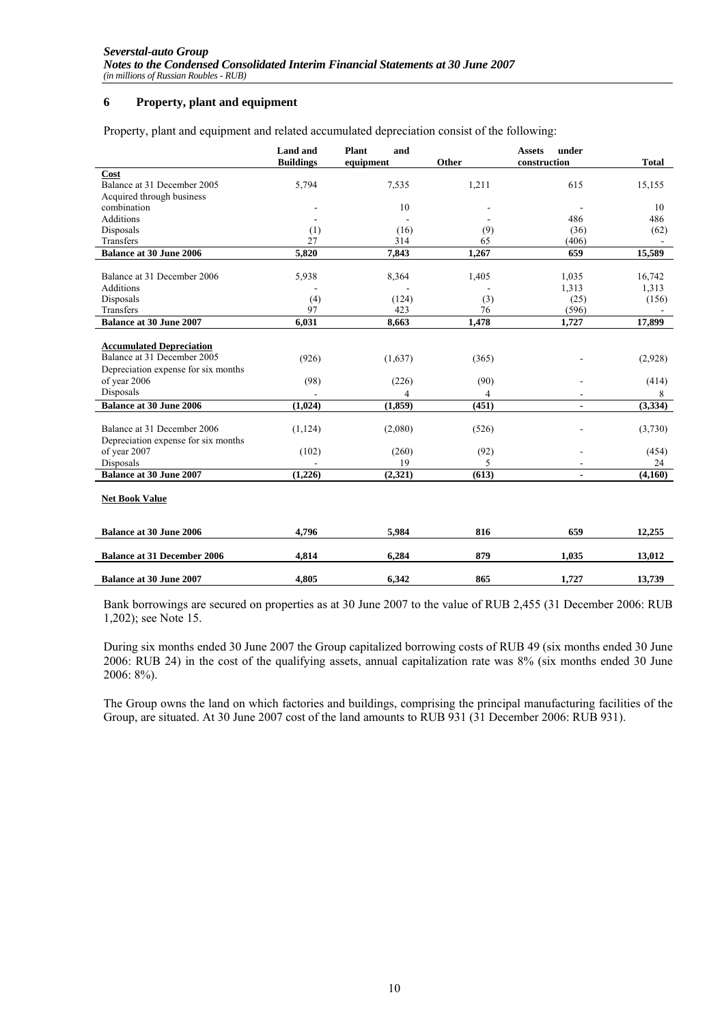### **6 Property, plant and equipment**

Property, plant and equipment and related accumulated depreciation consist of the following:

|                                                                                                                       | <b>Land and</b><br><b>Buildings</b> | Plant<br>and<br>equipment | Other         | under<br><b>Assets</b><br>construction | <b>Total</b>     |
|-----------------------------------------------------------------------------------------------------------------------|-------------------------------------|---------------------------|---------------|----------------------------------------|------------------|
| Cost                                                                                                                  |                                     |                           |               |                                        |                  |
| Balance at 31 December 2005                                                                                           | 5,794                               | 7,535                     | 1,211         | 615                                    | 15,155           |
| Acquired through business                                                                                             |                                     |                           |               |                                        |                  |
| combination                                                                                                           |                                     | 10                        |               |                                        | 10               |
| <b>Additions</b>                                                                                                      |                                     |                           |               | 486                                    | 486              |
| Disposals                                                                                                             | (1)                                 | (16)                      | (9)           | (36)                                   | (62)             |
| Transfers                                                                                                             | 27                                  | 314                       | 65            | (406)                                  |                  |
| <b>Balance at 30 June 2006</b>                                                                                        | 5,820                               | 7,843                     | 1,267         | 659                                    | 15,589           |
|                                                                                                                       |                                     |                           |               |                                        |                  |
| Balance at 31 December 2006                                                                                           | 5,938                               | 8,364                     | 1,405         | 1,035                                  | 16,742           |
| Additions                                                                                                             |                                     |                           |               | 1,313                                  | 1,313            |
| Disposals                                                                                                             | (4)                                 | (124)                     | (3)           | (25)                                   | (156)            |
| Transfers                                                                                                             | 97                                  | 423                       | 76            | (596)                                  |                  |
| <b>Balance at 30 June 2007</b>                                                                                        | 6,031                               | 8,663                     | 1,478         | 1,727                                  | 17,899           |
| <b>Accumulated Depreciation</b><br>Balance at 31 December 2005<br>Depreciation expense for six months<br>of year 2006 | (926)<br>(98)                       | (1,637)<br>(226)          | (365)<br>(90) |                                        | (2,928)<br>(414) |
| Disposals                                                                                                             | $\blacksquare$                      | 4                         | 4             |                                        | 8                |
| <b>Balance at 30 June 2006</b>                                                                                        | (1,024)                             | (1, 859)                  | (451)         | $\blacksquare$                         | (3,334)          |
| Balance at 31 December 2006<br>Depreciation expense for six months                                                    | (1, 124)                            | (2,080)                   | (526)         |                                        | (3,730)          |
| of year 2007                                                                                                          | (102)                               | (260)                     | (92)          |                                        | (454)            |
| Disposals                                                                                                             |                                     | 19                        | 5             |                                        | 24               |
| <b>Balance at 30 June 2007</b>                                                                                        | (1,226)                             | (2,321)                   | (613)         | $\overline{\phantom{a}}$               | (4,160)          |
| <b>Net Book Value</b>                                                                                                 |                                     |                           |               |                                        |                  |
| <b>Balance at 30 June 2006</b>                                                                                        | 4.796                               | 5,984                     | 816           | 659                                    | 12,255           |
| <b>Balance at 31 December 2006</b>                                                                                    | 4,814                               | 6,284                     | 879           | 1,035                                  | 13,012           |
| <b>Balance at 30 June 2007</b>                                                                                        | 4.805                               | 6.342                     | 865           | 1.727                                  | 13,739           |

Bank borrowings are secured on properties as at 30 June 2007 to the value of RUB 2,455 (31 December 2006: RUB 1,202); see Note 15.

During six months ended 30 June 2007 the Group capitalized borrowing costs of RUB 49 (six months ended 30 June 2006: RUB 24) in the cost of the qualifying assets, annual capitalization rate was 8% (six months ended 30 June 2006: 8%).

The Group owns the land on which factories and buildings, comprising the principal manufacturing facilities of the Group, are situated. At 30 June 2007 cost of the land amounts to RUB 931 (31 December 2006: RUB 931).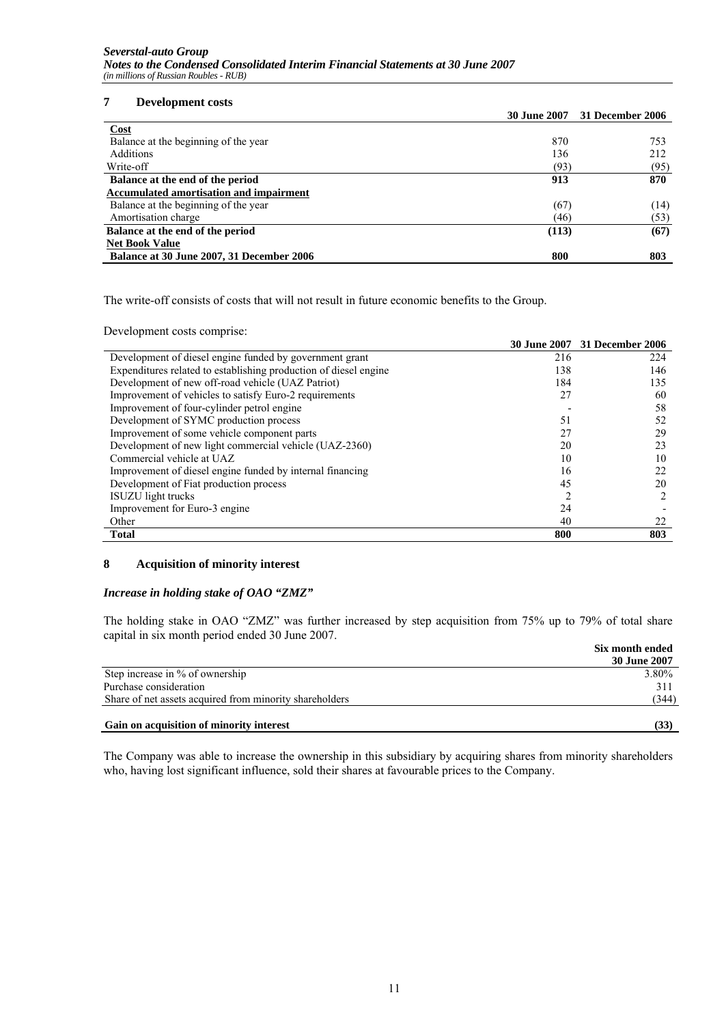### **7 Development costs**

| 30 June 2007 31 December 2006                    |      |
|--------------------------------------------------|------|
| <b>Cost</b>                                      |      |
| Balance at the beginning of the year<br>870      | 753  |
| <b>Additions</b><br>136                          | 212  |
| Write-off<br>(93)                                | (95) |
| 913<br>Balance at the end of the period          | 870  |
| <b>Accumulated amortisation and impairment</b>   |      |
| Balance at the beginning of the year<br>(67)     | (14) |
| Amortisation charge<br>(46)                      | (53) |
| Balance at the end of the period<br>(113)        | (67) |
| <b>Net Book Value</b>                            |      |
| 800<br>Balance at 30 June 2007, 31 December 2006 | 803  |

The write-off consists of costs that will not result in future economic benefits to the Group.

Development costs comprise:

|                                                                  |     | 30 June 2007 31 December 2006 |
|------------------------------------------------------------------|-----|-------------------------------|
| Development of diesel engine funded by government grant          | 216 | 224                           |
| Expenditures related to establishing production of diesel engine | 138 | 146                           |
| Development of new off-road vehicle (UAZ Patriot)                | 184 | 135                           |
| Improvement of vehicles to satisfy Euro-2 requirements           | 27  | 60                            |
| Improvement of four-cylinder petrol engine                       |     | 58                            |
| Development of SYMC production process                           | 51  | 52                            |
| Improvement of some vehicle component parts                      | 27  | 29                            |
| Development of new light commercial vehicle (UAZ-2360)           | 20  | 23                            |
| Commercial vehicle at UAZ                                        | 10  | 10                            |
| Improvement of diesel engine funded by internal financing        | 16  | 22                            |
| Development of Fiat production process                           | 45  | 20                            |
| <b>ISUZU</b> light trucks                                        |     | $\mathfrak{D}$                |
| Improvement for Euro-3 engine                                    | 24  |                               |
| Other                                                            | 40  | 22                            |
| <b>Total</b>                                                     | 800 | 803                           |

## **8 Acquisition of minority interest**

### *Increase in holding stake of OAO "ZMZ"*

The holding stake in OAO "ZMZ" was further increased by step acquisition from 75% up to 79% of total share capital in six month period ended 30 June 2007.

|                                                         | Six month ended |
|---------------------------------------------------------|-----------------|
|                                                         | 30 June 2007    |
| Step increase in % of ownership                         | 3.80%           |
| Purchase consideration                                  | 31              |
| Share of net assets acquired from minority shareholders | (344)           |
| Gain on acquisition of minority interest                | (33)            |

The Company was able to increase the ownership in this subsidiary by acquiring shares from minority shareholders who, having lost significant influence, sold their shares at favourable prices to the Company.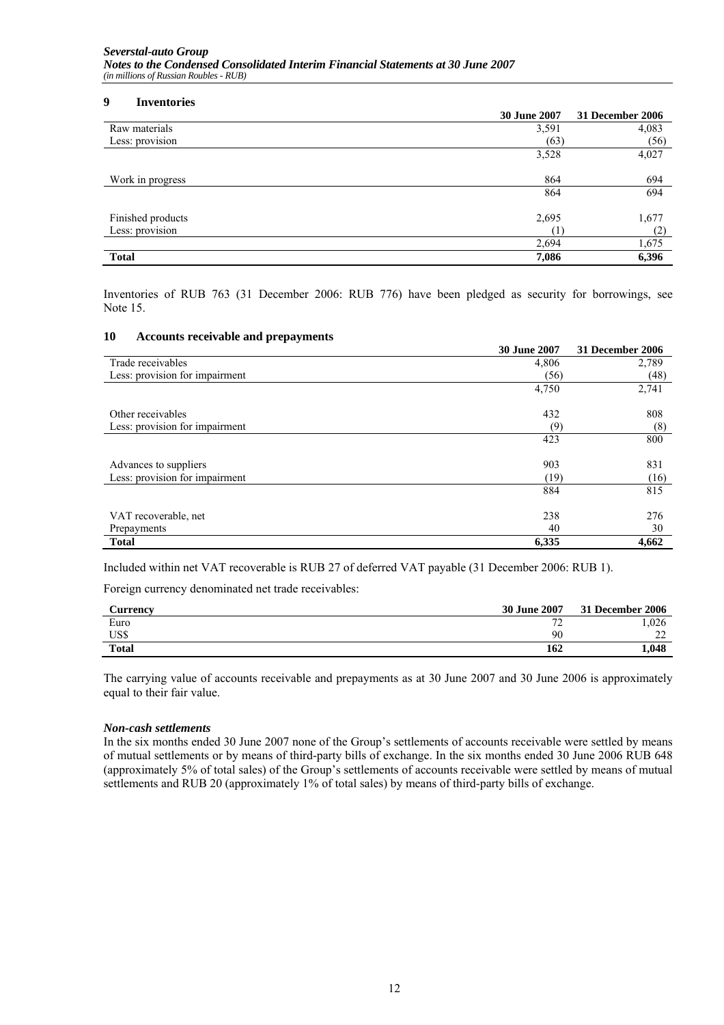#### **9 Inventories**

|                   | <b>30 June 2007</b> | 31 December 2006 |
|-------------------|---------------------|------------------|
| Raw materials     | 3,591               | 4,083            |
| Less: provision   | (63)                | (56)             |
|                   | 3,528               | 4,027            |
| Work in progress  | 864                 | 694              |
|                   | 864                 | 694              |
| Finished products | 2,695               | 1,677            |
| Less: provision   |                     | (2)              |
|                   | 2,694               | 1,675            |
| <b>Total</b>      | 7,086               | 6,396            |

Inventories of RUB 763 (31 December 2006: RUB 776) have been pledged as security for borrowings, see Note 15.

#### **10 Accounts receivable and prepayments**

|                                | <b>30 June 2007</b> | 31 December 2006 |
|--------------------------------|---------------------|------------------|
| Trade receivables              | 4,806               | 2,789            |
| Less: provision for impairment | (56)                | (48)             |
|                                | 4,750               | 2,741            |
| Other receivables              | 432                 | 808              |
| Less: provision for impairment | (9)                 | (8)              |
|                                | 423                 | 800              |
| Advances to suppliers          | 903                 | 831              |
| Less: provision for impairment | (19)                | (16)             |
|                                | 884                 | 815              |
| VAT recoverable, net           | 238                 | 276              |
| Prepayments                    | 40                  | 30               |
| <b>Total</b>                   | 6,335               | 4,662            |

Included within net VAT recoverable is RUB 27 of deferred VAT payable (31 December 2006: RUB 1).

Foreign currency denominated net trade receivables:

| <b>Currencv</b> | 30 June 2007             | 31 December 2006 |
|-----------------|--------------------------|------------------|
| Euro            | $\overline{\phantom{a}}$ | .026             |
| US\$            | 90                       | $\sim$<br>∼      |
| <b>Total</b>    | 162                      | 1,048            |

The carrying value of accounts receivable and prepayments as at 30 June 2007 and 30 June 2006 is approximately equal to their fair value.

#### *Non-cash settlements*

In the six months ended 30 June 2007 none of the Group's settlements of accounts receivable were settled by means of mutual settlements or by means of third-party bills of exchange. In the six months ended 30 June 2006 RUB 648 (approximately 5% of total sales) of the Group's settlements of accounts receivable were settled by means of mutual settlements and RUB 20 (approximately 1% of total sales) by means of third-party bills of exchange.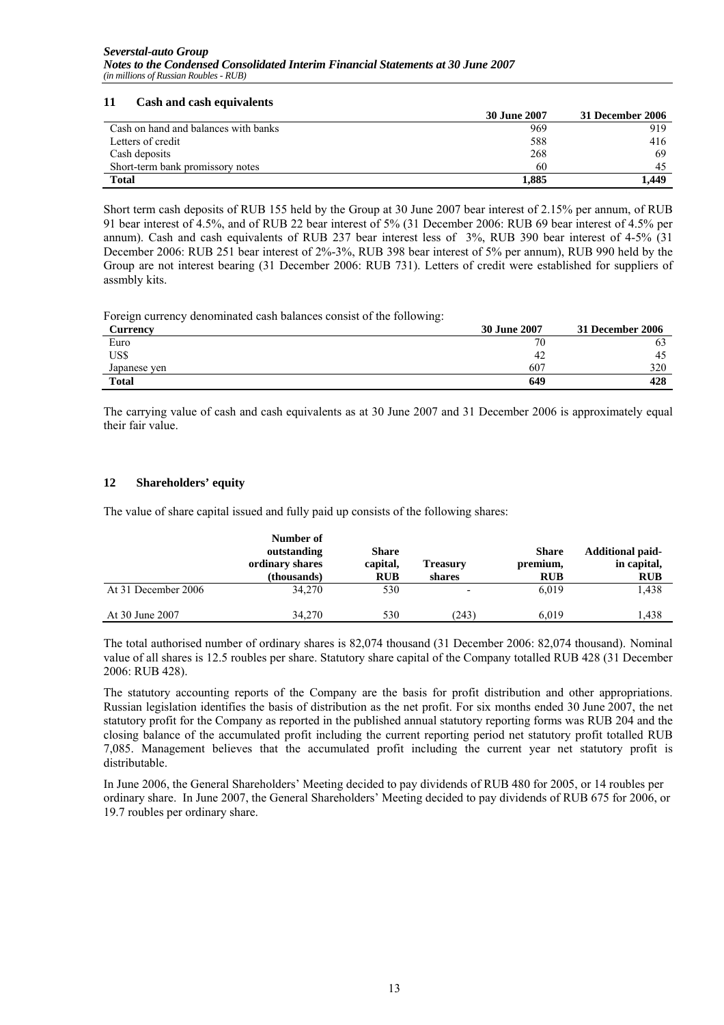### **11 Cash and cash equivalents**

|                                      | 30 June 2007 | 31 December 2006 |
|--------------------------------------|--------------|------------------|
| Cash on hand and balances with banks | 969          | 919              |
| Letters of credit                    | 588          | 416              |
| Cash deposits                        | 268          | 69               |
| Short-term bank promissory notes     | 60           | 45               |
| <b>Total</b>                         | 1,885        | 1.449            |

Short term cash deposits of RUB 155 held by the Group at 30 June 2007 bear interest of 2.15% per annum, of RUB 91 bear interest of 4.5%, and of RUB 22 bear interest of 5% (31 December 2006: RUB 69 bear interest of 4.5% per annum). Cash and cash equivalents of RUB 237 bear interest less of 3%, RUB 390 bear interest of 4-5% (31 December 2006: RUB 251 bear interest of 2%-3%, RUB 398 bear interest of 5% per annum), RUB 990 held by the Group are not interest bearing (31 December 2006: RUB 731). Letters of credit were established for suppliers of assmbly kits.

Foreign currency denominated cash balances consist of the following:

| Currency     | __<br>30 June 2007 | 31 December 2006 |
|--------------|--------------------|------------------|
| Euro         | 70                 | OJ               |
| US\$         | -42                | -45              |
| Japanese yen | 607                | 320              |
| <b>Total</b> | 649                | 428              |

The carrying value of cash and cash equivalents as at 30 June 2007 and 31 December 2006 is approximately equal their fair value.

# **12 Shareholders' equity**

The value of share capital issued and fully paid up consists of the following shares:

|                     | Number of<br>outstanding<br>ordinary shares<br>(thousands) | <b>Share</b><br>capital,<br><b>RUB</b> | Treasury<br>shares | <b>Share</b><br>premium,<br><b>RUB</b> | <b>Additional paid-</b><br>in capital,<br><b>RUB</b> |
|---------------------|------------------------------------------------------------|----------------------------------------|--------------------|----------------------------------------|------------------------------------------------------|
| At 31 December 2006 | 34,270                                                     | 530                                    |                    | 6.019                                  | 1,438                                                |
| At 30 June 2007     | 34,270                                                     | 530                                    | (243)              | 6.019                                  | .438                                                 |

The total authorised number of ordinary shares is 82,074 thousand (31 December 2006: 82,074 thousand). Nominal value of all shares is 12.5 roubles per share. Statutory share capital of the Company totalled RUB 428 (31 December 2006: RUB 428).

The statutory accounting reports of the Company are the basis for profit distribution and other appropriations. Russian legislation identifies the basis of distribution as the net profit. For six months ended 30 June 2007, the net statutory profit for the Company as reported in the published annual statutory reporting forms was RUB 204 and the closing balance of the accumulated profit including the current reporting period net statutory profit totalled RUB 7,085. Management believes that the accumulated profit including the current year net statutory profit is distributable.

In June 2006, the General Shareholders' Meeting decided to pay dividends of RUB 480 for 2005, or 14 roubles per ordinary share. In June 2007, the General Shareholders' Meeting decided to pay dividends of RUB 675 for 2006, or 19.7 roubles per ordinary share.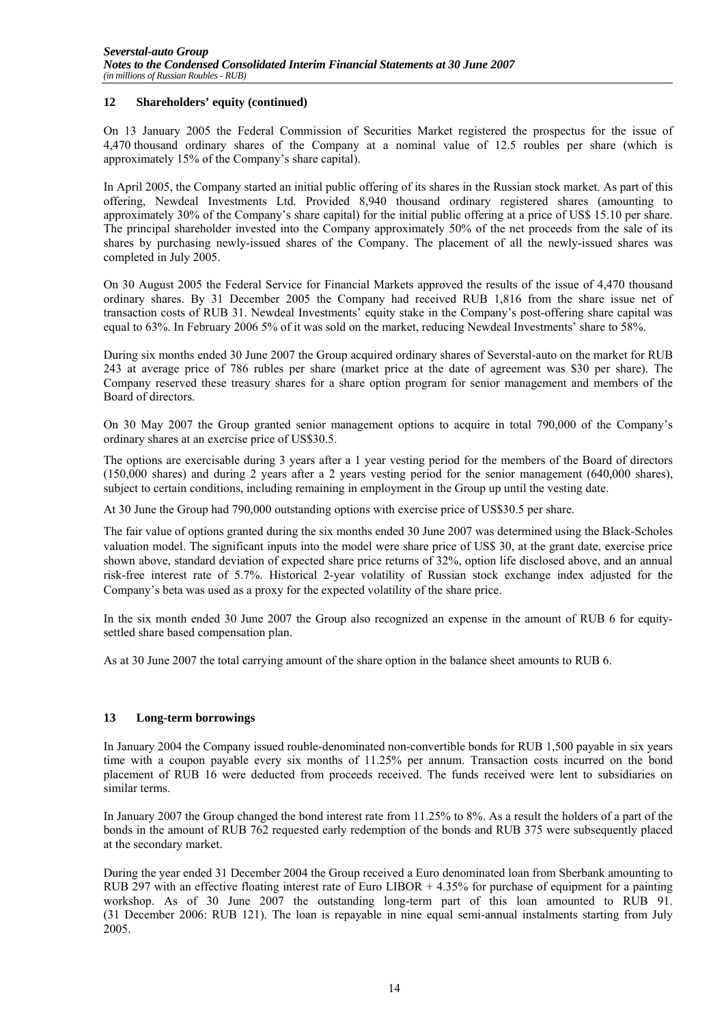### **12 Shareholders' equity (continued)**

On 13 January 2005 the Federal Commission of Securities Market registered the prospectus for the issue of 4,470 thousand ordinary shares of the Company at a nominal value of 12.5 roubles per share (which is approximately 15% of the Company's share capital).

In April 2005, the Company started an initial public offering of its shares in the Russian stock market. As part of this offering, Newdeal Investments Ltd. Provided 8,940 thousand ordinary registered shares (amounting to approximately 30% of the Company's share capital) for the initial public offering at a price of US\$ 15.10 per share. The principal shareholder invested into the Company approximately 50% of the net proceeds from the sale of its shares by purchasing newly-issued shares of the Company. The placement of all the newly-issued shares was completed in July 2005.

On 30 August 2005 the Federal Service for Financial Markets approved the results of the issue of 4,470 thousand ordinary shares. By 31 December 2005 the Company had received RUB 1,816 from the share issue net of transaction costs of RUB 31. Newdeal Investments' equity stake in the Company's post-offering share capital was equal to 63%. In February 2006 5% of it was sold on the market, reducing Newdeal Investments' share to 58%.

During six months ended 30 June 2007 the Group acquired ordinary shares of Severstal-auto on the market for RUB 243 at average price of 786 rubles per share (market price at the date of agreement was \$30 per share). The Company reserved these treasury shares for a share option program for senior management and members of the Board of directors.

On 30 May 2007 the Group granted senior management options to acquire in total 790,000 of the Company's ordinary shares at an exercise price of US\$30.5.

The options are exercisable during 3 years after a 1 year vesting period for the members of the Board of directors (150,000 shares) and during 2 years after a 2 years vesting period for the senior management (640,000 shares), subject to certain conditions, including remaining in employment in the Group up until the vesting date.

At 30 June the Group had 790,000 outstanding options with exercise price of US\$30.5 per share.

The fair value of options granted during the six months ended 30 June 2007 was determined using the Black-Scholes valuation model. The significant inputs into the model were share price of US\$ 30, at the grant date, exercise price shown above, standard deviation of expected share price returns of 32%, option life disclosed above, and an annual risk-free interest rate of 5.7%. Historical 2-year volatility of Russian stock exchange index adjusted for the Company's beta was used as a proxy for the expected volatility of the share price.

In the six month ended 30 June 2007 the Group also recognized an expense in the amount of RUB 6 for equitysettled share based compensation plan.

As at 30 June 2007 the total carrying amount of the share option in the balance sheet amounts to RUB 6.

# **13 Long-term borrowings**

In January 2004 the Company issued rouble-denominated non-convertible bonds for RUB 1,500 payable in six years time with a coupon payable every six months of 11.25% per annum. Transaction costs incurred on the bond placement of RUB 16 were deducted from proceeds received. The funds received were lent to subsidiaries on similar terms.

In January 2007 the Group changed the bond interest rate from 11.25% to 8%. As a result the holders of a part of the bonds in the amount of RUB 762 requested early redemption of the bonds and RUB 375 were subsequently placed at the secondary market.

During the year ended 31 December 2004 the Group received a Euro denominated loan from Sberbank amounting to RUB 297 with an effective floating interest rate of Euro LIBOR + 4.35% for purchase of equipment for a painting workshop. As of 30 June 2007 the outstanding long-term part of this loan amounted to RUB 91. (31 December 2006: RUB 121). The loan is repayable in nine equal semi-annual instalments starting from July 2005.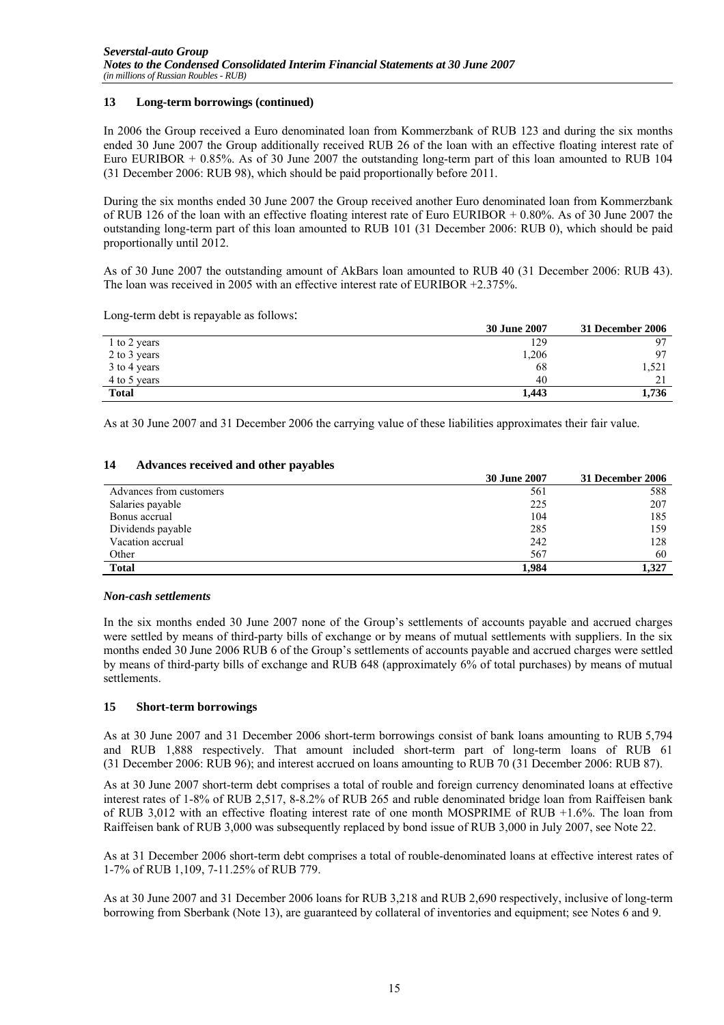### **13 Long-term borrowings (continued)**

In 2006 the Group received a Euro denominated loan from Kommerzbank of RUB 123 and during the six months ended 30 June 2007 the Group additionally received RUB 26 of the loan with an effective floating interest rate of Euro EURIBOR + 0.85%. As of 30 June 2007 the outstanding long-term part of this loan amounted to RUB 104 (31 December 2006: RUB 98), which should be paid proportionally before 2011.

During the six months ended 30 June 2007 the Group received another Euro denominated loan from Kommerzbank of RUB 126 of the loan with an effective floating interest rate of Euro EURIBOR + 0.80%. As of 30 June 2007 the outstanding long-term part of this loan amounted to RUB 101 (31 December 2006: RUB 0), which should be paid proportionally until 2012.

As of 30 June 2007 the outstanding amount of AkBars loan amounted to RUB 40 (31 December 2006: RUB 43). The loan was received in 2005 with an effective interest rate of EURIBOR +2.375%.

Long-term debt is repayable as follows:

|              | 30 June 2007 | 31 December 2006 |
|--------------|--------------|------------------|
| 1 to 2 years | 129          |                  |
| 2 to 3 years | 1,206        |                  |
| 3 to 4 years | 68           | 1,521            |
| 4 to 5 years | 40           |                  |
| <b>Total</b> | 1,443        | 1,736            |

As at 30 June 2007 and 31 December 2006 the carrying value of these liabilities approximates their fair value.

### **14 Advances received and other payables**

|                         | 30 June 2007 | 31 December 2006 |
|-------------------------|--------------|------------------|
| Advances from customers | 561          | 588              |
| Salaries payable        | 225          | 207              |
| Bonus accrual           | 104          | 185              |
| Dividends payable       | 285          | 159              |
| Vacation accrual        | 242          | 128              |
| Other                   | 567          | 60               |
| <b>Total</b>            | 1.984        | 1.327            |

### *Non-cash settlements*

In the six months ended 30 June 2007 none of the Group's settlements of accounts payable and accrued charges were settled by means of third-party bills of exchange or by means of mutual settlements with suppliers. In the six months ended 30 June 2006 RUB 6 of the Group's settlements of accounts payable and accrued charges were settled by means of third-party bills of exchange and RUB 648 (approximately 6% of total purchases) by means of mutual settlements.

### **15 Short-term borrowings**

As at 30 June 2007 and 31 December 2006 short-term borrowings consist of bank loans amounting to RUB 5,794 and RUB 1,888 respectively. That amount included short-term part of long-term loans of RUB 61 (31 December 2006: RUB 96); and interest accrued on loans amounting to RUB 70 (31 December 2006: RUB 87).

As at 30 June 2007 short-term debt comprises a total of rouble and foreign currency denominated loans at effective interest rates of 1-8% of RUB 2,517, 8-8.2% of RUB 265 and ruble denominated bridge loan from Raiffeisen bank of RUB 3,012 with an effective floating interest rate of one month MOSPRIME of RUB +1.6%. The loan from Raiffeisen bank of RUB 3,000 was subsequently replaced by bond issue of RUB 3,000 in July 2007, see Note 22.

As at 31 December 2006 short-term debt comprises a total of rouble-denominated loans at effective interest rates of 1-7% of RUB 1,109, 7-11.25% of RUB 779.

As at 30 June 2007 and 31 December 2006 loans for RUB 3,218 and RUB 2,690 respectively, inclusive of long-term borrowing from Sberbank (Note 13), are guaranteed by collateral of inventories and equipment; see Notes 6 and 9.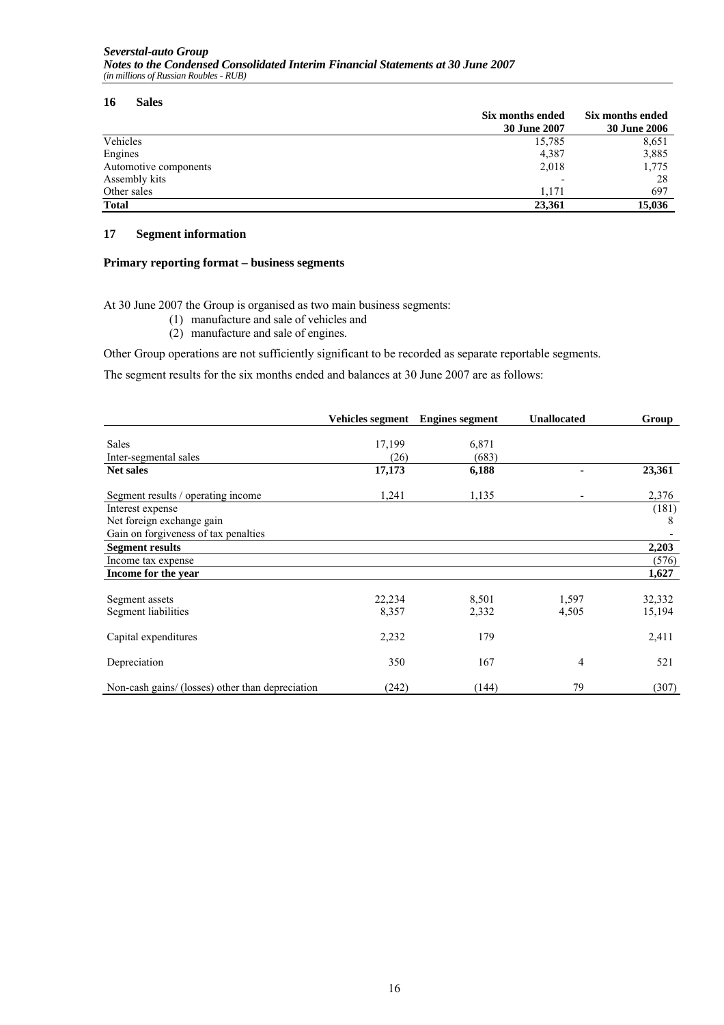#### **16 Sales**

|                       | Six months ended    | Six months ended    |
|-----------------------|---------------------|---------------------|
|                       | <b>30 June 2007</b> | <b>30 June 2006</b> |
| Vehicles              | 15,785              | 8,651               |
| Engines               | 4,387               | 3,885               |
| Automotive components | 2,018               | 1,775               |
| Assembly kits         | ٠                   | 28                  |
| Other sales           | 1.171               | 697                 |
| <b>Total</b>          | 23.361              | 15,036              |

### **17 Segment information**

### **Primary reporting format – business segments**

At 30 June 2007 the Group is organised as two main business segments:

- (1) manufacture and sale of vehicles and
- (2) manufacture and sale of engines.

Other Group operations are not sufficiently significant to be recorded as separate reportable segments.

The segment results for the six months ended and balances at 30 June 2007 are as follows:

|                                                  |        | Vehicles segment Engines segment | <b>Unallocated</b> | Group  |
|--------------------------------------------------|--------|----------------------------------|--------------------|--------|
|                                                  |        |                                  |                    |        |
| <b>Sales</b>                                     | 17,199 | 6,871                            |                    |        |
| Inter-segmental sales                            | (26)   | (683)                            |                    |        |
| <b>Net sales</b>                                 | 17,173 | 6,188                            |                    | 23,361 |
| Segment results / operating income               | 1,241  | 1,135                            |                    | 2,376  |
| Interest expense                                 |        |                                  |                    | (181)  |
| Net foreign exchange gain                        |        |                                  |                    | 8      |
| Gain on forgiveness of tax penalties             |        |                                  |                    |        |
| <b>Segment results</b>                           |        |                                  |                    | 2,203  |
| Income tax expense                               |        |                                  |                    | (576)  |
| Income for the year                              |        |                                  |                    | 1,627  |
|                                                  |        |                                  |                    |        |
| Segment assets                                   | 22,234 | 8,501                            | 1,597              | 32,332 |
| Segment liabilities                              | 8,357  | 2,332                            | 4,505              | 15,194 |
| Capital expenditures                             | 2,232  | 179                              |                    | 2,411  |
| Depreciation                                     | 350    | 167                              | 4                  | 521    |
| Non-cash gains/ (losses) other than depreciation | (242)  | (144)                            | 79                 | (307)  |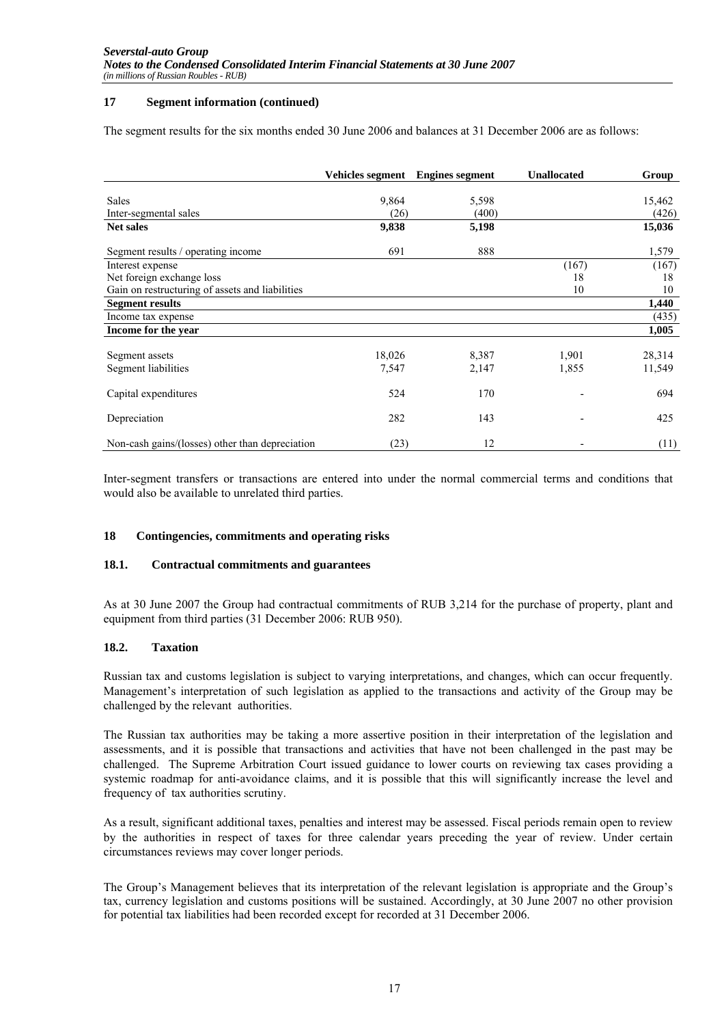### **17 Segment information (continued)**

The segment results for the six months ended 30 June 2006 and balances at 31 December 2006 are as follows:

|                                                 | <b>Vehicles segment</b> | <b>Engines segment</b> | <b>Unallocated</b> | Group            |
|-------------------------------------------------|-------------------------|------------------------|--------------------|------------------|
| <b>Sales</b>                                    | 9,864                   | 5,598                  |                    | 15,462           |
| Inter-segmental sales                           | (26)                    | (400)                  |                    | (426)            |
| <b>Net sales</b>                                | 9,838                   | 5,198                  |                    | 15,036           |
| Segment results / operating income              | 691                     | 888                    |                    | 1,579            |
| Interest expense                                |                         |                        | (167)              | (167)            |
| Net foreign exchange loss                       |                         |                        | 18                 | 18               |
| Gain on restructuring of assets and liabilities |                         |                        | 10                 | 10               |
| <b>Segment results</b>                          |                         |                        |                    | 1,440            |
| Income tax expense                              |                         |                        |                    | (435)            |
| Income for the year                             |                         |                        |                    | 1,005            |
|                                                 |                         |                        |                    |                  |
| Segment assets<br>Segment liabilities           | 18,026<br>7,547         | 8,387<br>2,147         | 1,901<br>1,855     | 28,314<br>11,549 |
| Capital expenditures                            | 524                     | 170                    |                    | 694              |
| Depreciation                                    | 282                     | 143                    |                    | 425              |
| Non-cash gains/(losses) other than depreciation | (23)                    | 12                     |                    | (11)             |

Inter-segment transfers or transactions are entered into under the normal commercial terms and conditions that would also be available to unrelated third parties.

### **18 Contingencies, commitments and operating risks**

### **18.1. Contractual commitments and guarantees**

As at 30 June 2007 the Group had contractual commitments of RUB 3,214 for the purchase of property, plant and equipment from third parties (31 December 2006: RUB 950).

### **18.2. Taxation**

Russian tax and customs legislation is subject to varying interpretations, and changes, which can occur frequently. Management's interpretation of such legislation as applied to the transactions and activity of the Group may be challenged by the relevant authorities.

The Russian tax authorities may be taking a more assertive position in their interpretation of the legislation and assessments, and it is possible that transactions and activities that have not been challenged in the past may be challenged. The Supreme Arbitration Court issued guidance to lower courts on reviewing tax cases providing a systemic roadmap for anti-avoidance claims, and it is possible that this will significantly increase the level and frequency of tax authorities scrutiny.

As a result, significant additional taxes, penalties and interest may be assessed. Fiscal periods remain open to review by the authorities in respect of taxes for three calendar years preceding the year of review. Under certain circumstances reviews may cover longer periods.

The Group's Management believes that its interpretation of the relevant legislation is appropriate and the Group's tax, currency legislation and customs positions will be sustained. Accordingly, at 30 June 2007 no other provision for potential tax liabilities had been recorded except for recorded at 31 December 2006.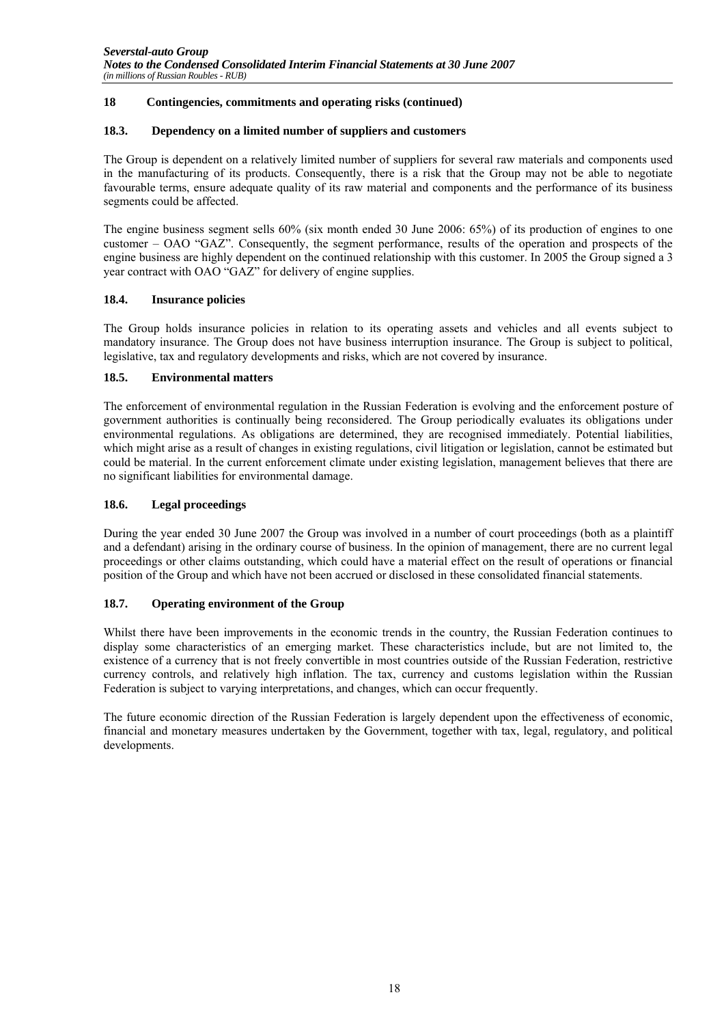## **18 Contingencies, commitments and operating risks (continued)**

### **18.3. Dependency on a limited number of suppliers and customers**

The Group is dependent on a relatively limited number of suppliers for several raw materials and components used in the manufacturing of its products. Consequently, there is a risk that the Group may not be able to negotiate favourable terms, ensure adequate quality of its raw material and components and the performance of its business segments could be affected.

The engine business segment sells 60% (six month ended 30 June 2006: 65%) of its production of engines to one customer – OAO "GAZ". Consequently, the segment performance, results of the operation and prospects of the engine business are highly dependent on the continued relationship with this customer. In 2005 the Group signed a 3 year contract with OAO "GAZ" for delivery of engine supplies.

# **18.4. Insurance policies**

The Group holds insurance policies in relation to its operating assets and vehicles and all events subject to mandatory insurance. The Group does not have business interruption insurance. The Group is subject to political, legislative, tax and regulatory developments and risks, which are not covered by insurance.

### **18.5. Environmental matters**

The enforcement of environmental regulation in the Russian Federation is evolving and the enforcement posture of government authorities is continually being reconsidered. The Group periodically evaluates its obligations under environmental regulations. As obligations are determined, they are recognised immediately. Potential liabilities, which might arise as a result of changes in existing regulations, civil litigation or legislation, cannot be estimated but could be material. In the current enforcement climate under existing legislation, management believes that there are no significant liabilities for environmental damage.

### **18.6. Legal proceedings**

During the year ended 30 June 2007 the Group was involved in a number of court proceedings (both as a plaintiff and a defendant) arising in the ordinary course of business. In the opinion of management, there are no current legal proceedings or other claims outstanding, which could have a material effect on the result of operations or financial position of the Group and which have not been accrued or disclosed in these consolidated financial statements.

# **18.7. Operating environment of the Group**

Whilst there have been improvements in the economic trends in the country, the Russian Federation continues to display some characteristics of an emerging market. These characteristics include, but are not limited to, the existence of a currency that is not freely convertible in most countries outside of the Russian Federation, restrictive currency controls, and relatively high inflation. The tax, currency and customs legislation within the Russian Federation is subject to varying interpretations, and changes, which can occur frequently.

The future economic direction of the Russian Federation is largely dependent upon the effectiveness of economic, financial and monetary measures undertaken by the Government, together with tax, legal, regulatory, and political developments.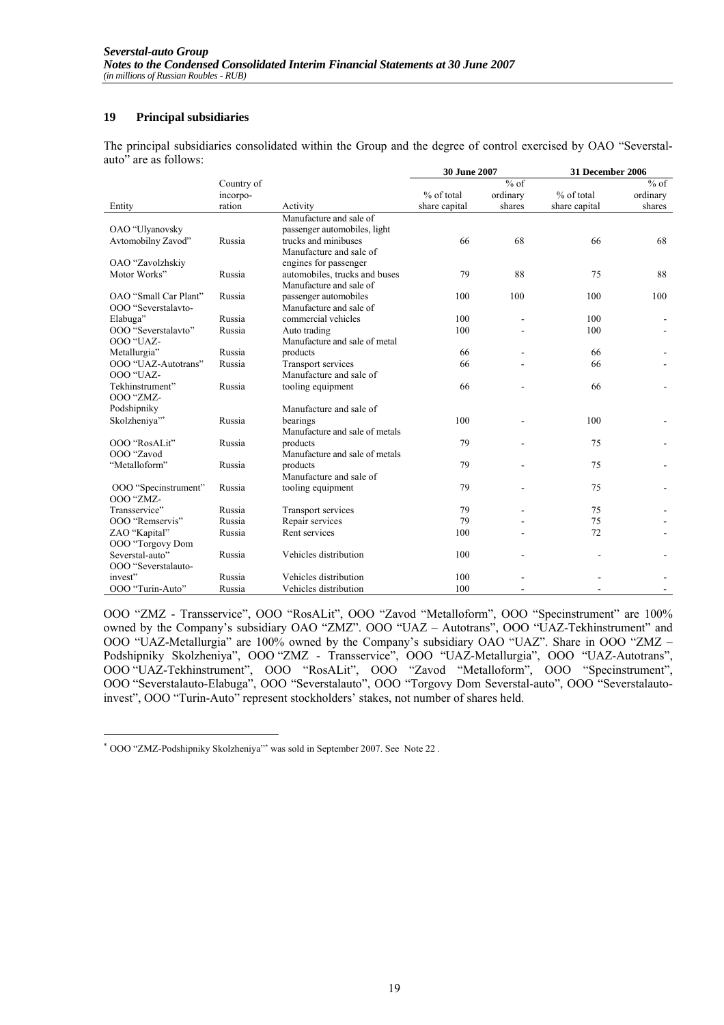# **19 Principal subsidiaries**

The principal subsidiaries consolidated within the Group and the degree of control exercised by OAO "Severstalauto" are as follows:

|                                     |            |                                | 30 June 2007  |          | 31 December 2006 |          |
|-------------------------------------|------------|--------------------------------|---------------|----------|------------------|----------|
|                                     | Country of |                                |               | $%$ of   |                  | $%$ of   |
|                                     | incorpo-   |                                | % of total    | ordinary | % of total       | ordinary |
| Entity                              | ration     | Activity                       | share capital | shares   | share capital    | shares   |
|                                     |            | Manufacture and sale of        |               |          |                  |          |
| OAO "Ulyanovsky                     |            | passenger automobiles, light   |               |          |                  |          |
| Avtomobilny Zavod"                  | Russia     | trucks and minibuses           | 66            | 68       | 66               | 68       |
|                                     |            | Manufacture and sale of        |               |          |                  |          |
| OAO "Zavolzhskiy                    |            | engines for passenger          |               |          |                  |          |
| Motor Works"                        | Russia     | automobiles, trucks and buses  | 79            | 88       | 75               | 88       |
|                                     |            | Manufacture and sale of        |               |          |                  |          |
| OAO "Small Car Plant"               | Russia     | passenger automobiles          | 100           | 100      | 100              | 100      |
| OOO "Severstalavto-                 |            | Manufacture and sale of        |               |          |                  |          |
| Elabuga"                            | Russia     | commercial vehicles            | 100           | ÷        | 100              |          |
| OOO "Severstalavto"                 | Russia     | Auto trading                   | 100           |          | 100              |          |
| OOO "UAZ-                           |            | Manufacture and sale of metal  |               |          |                  |          |
| Metallurgia"                        | Russia     | products                       | 66            |          | 66               |          |
| OOO "UAZ-Autotrans"                 | Russia     | Transport services             | 66            |          | 66               |          |
| OOO "UAZ-                           |            | Manufacture and sale of        |               |          |                  |          |
| Tekhinstrument"<br><b>OOO</b> "ZMZ- | Russia     | tooling equipment              | 66            |          | 66               |          |
| Podshipniky                         |            | Manufacture and sale of        |               |          |                  |          |
| Skolzheniya"*                       | Russia     | bearings                       | 100           |          | 100              |          |
|                                     |            | Manufacture and sale of metals |               |          |                  |          |
| OOO "RosALit"                       | Russia     | products                       | 79            |          | 75               |          |
| OOO "Zavod                          |            | Manufacture and sale of metals |               |          |                  |          |
| "Metalloform"                       | Russia     | products                       | 79            |          | 75               |          |
|                                     |            | Manufacture and sale of        |               |          |                  |          |
| OOO "Specinstrument"                | Russia     | tooling equipment              | 79            |          | 75               |          |
| OOO "ZMZ-                           |            |                                |               |          |                  |          |
| Transservice"                       | Russia     | Transport services             | 79            |          | 75               |          |
| OOO "Remservis"                     | Russia     | Repair services                | 79            |          | 75               |          |
| ZAO "Kapital"                       | Russia     | Rent services                  | 100           |          | 72               |          |
| OOO "Torgovy Dom                    |            |                                |               |          |                  |          |
| Severstal-auto"                     | Russia     | Vehicles distribution          | 100           |          |                  |          |
| OOO "Severstalauto-                 |            |                                |               |          |                  |          |
| invest"                             | Russia     | Vehicles distribution          | 100           |          |                  |          |
| OOO "Turin-Auto"                    | Russia     | Vehicles distribution          | 100           |          |                  |          |

OOO "ZMZ - Transservice", OOO "RosALit", OOO "Zavod "Metalloform", OOO "Specinstrument" are 100% owned by the Company's subsidiary OAO "ZMZ". OOO "UAZ – Autotrans", OOO "UAZ-Tekhinstrument" and OOO "UAZ-Metallurgia" are 100% owned by the Company's subsidiary OAO "UAZ". Share in OOO "ZMZ – Podshipniky Skolzheniya", OOO "ZMZ - Transservice", OOO "UAZ-Metallurgia", OOO "UAZ-Autotrans", OOO "UAZ-Tekhinstrument", OOO "RosALit", OOO "Zavod "Metalloform", OOO "Specinstrument", OOO "Severstalauto-Elabuga", OOO "Severstalauto", OOO "Torgovy Dom Severstal-auto", OOO "Severstalautoinvest", OOO "Turin-Auto" represent stockholders' stakes, not number of shares held.

 $\overline{a}$ 

<sup>∗</sup> OOO "ZMZ-Podshipniky Skolzheniya"<sup>∗</sup> was sold in September 2007. See Note 22 .